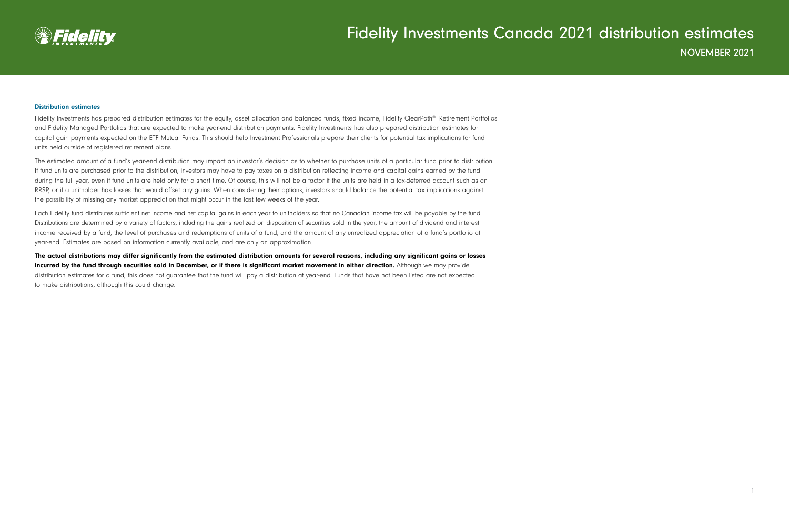

#### Distribution estimates

Fidelity Investments has prepared distribution estimates for the equity, asset allocation and balanced funds, fixed income, Fidelity ClearPath® Retirement Portfolios and Fidelity Managed Portfolios that are expected to make year-end distribution payments. Fidelity Investments has also prepared distribution estimates for capital gain payments expected on the ETF Mutual Funds. This should help Investment Professionals prepare their clients for potential tax implications for fund units held outside of registered retirement plans.

The estimated amount of a fund's year-end distribution may impact an investor's decision as to whether to purchase units of a particular fund prior to distribution. If fund units are purchased prior to the distribution, investors may have to pay taxes on a distribution reflecting income and capital gains earned by the fund during the full year, even if fund units are held only for a short time. Of course, this will not be a factor if the units are held in a tax-deferred account such as an RRSP, or if a unitholder has losses that would offset any gains. When considering their options, investors should balance the potential tax implications against the possibility of missing any market appreciation that might occur in the last few weeks of the year.

Each Fidelity fund distributes sufficient net income and net capital gains in each year to unitholders so that no Canadian income tax will be payable by the fund. Distributions are determined by a variety of factors, including the gains realized on disposition of securities sold in the year, the amount of dividend and interest income received by a fund, the level of purchases and redemptions of units of a fund, and the amount of any unrealized appreciation of a fund's portfolio at year-end. Estimates are based on information currently available, and are only an approximation.

The actual distributions may differ significantly from the estimated distribution amounts for several reasons, including any significant gains or losses incurred by the fund through securities sold in December, or if there is significant market movement in either direction. Although we may provide distribution estimates for a fund, this does not guarantee that the fund will pay a distribution at year-end. Funds that have not been listed are not expected to make distributions, although this could change.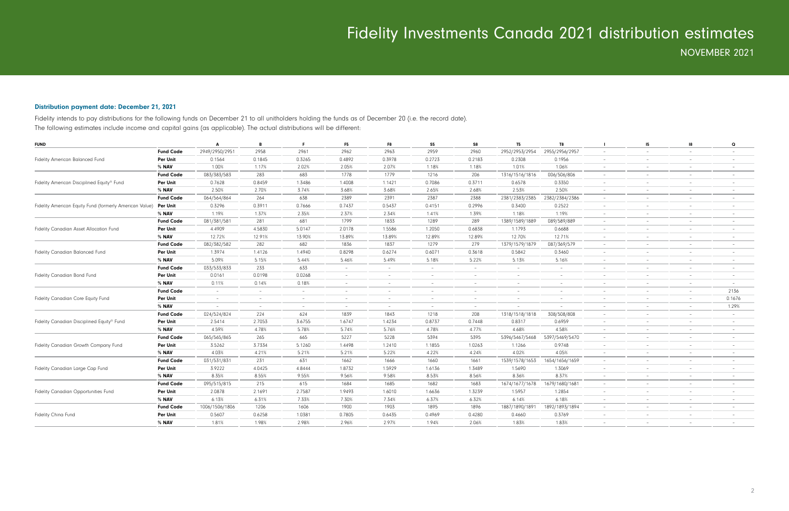### Distribution payment date: December 21, 2021

Fidelity intends to pay distributions for the following funds on December 21 to all unitholders holding the funds as of December 20 (i.e. the record date). The following estimates include income and capital gains (as applicable). The actual distributions will be different:

| <b>FUND</b>                                             |                  | Δ                        | B                               |                          | F <sub>5</sub>           | F8                       | S <sub>5</sub>           | S8                              | <b>T5</b>                | T8                       |                          | 15                       | 18                       | Q                        |
|---------------------------------------------------------|------------------|--------------------------|---------------------------------|--------------------------|--------------------------|--------------------------|--------------------------|---------------------------------|--------------------------|--------------------------|--------------------------|--------------------------|--------------------------|--------------------------|
|                                                         | <b>Fund Code</b> | 2949/2950/2951           | 2958                            | 2961                     | 2962                     | 2963                     | 2959                     | 2960                            | 2952/2953/2954           | 2955/2956/2957           | $\overline{\phantom{a}}$ |                          | $\overline{\phantom{a}}$ |                          |
| <b>Fidelity American Balanced Fund</b>                  | Per Unit         | 0.1564                   | 0.1845                          | 0.3265                   | 0.4892                   | 0.3978                   | 0.2723                   | 0.2183                          | 0.2308                   | 0.1956                   | $\overline{\phantom{a}}$ | $\overline{\phantom{a}}$ | $\overline{\phantom{a}}$ |                          |
|                                                         | % NAV            | 1.00%                    | 1.17%                           | 2.02%                    | 2.05%                    | 2.07%                    | 1.18%                    | 1.18%                           | 1.01%                    | 1.06%                    | $\sim$                   |                          | $\sim$                   |                          |
|                                                         | <b>Fund Code</b> | 083/383/583              | 283                             | 683                      | 1778                     | 1779                     | 1216                     | 206                             | 1316/1516/1816           | 006/506/806              | $\overline{\phantom{a}}$ | $\overline{\phantom{a}}$ | $\overline{\phantom{a}}$ | $\overline{\phantom{a}}$ |
| Fidelity American Disciplined Equity® Fund              | Per Unit         | 0.7628                   | 0.8459                          | 1.3486                   | 1.4008                   | 1.1421                   | 0.7086                   | 0.3711                          | 0.6578                   | 0.3350                   | $\overline{\phantom{a}}$ | $\overline{\phantom{a}}$ | $-$                      |                          |
|                                                         | % NAV            | 2.50%                    | 2.70%                           | 3.74%                    | 3.68%                    | 3.68%                    | 2.65%                    | 2.68%                           | 2.53%                    | 2.50%                    | $\sim$                   | $\overline{\phantom{a}}$ | $\overline{\phantom{a}}$ |                          |
|                                                         | <b>Fund Code</b> | 064/564/864              | 264                             | 638                      | 2389                     | 2391                     | 2387                     | 2388                            | 2381/2383/2385           | 2382/2384/2386           | $\overline{\phantom{a}}$ | $\overline{\phantom{a}}$ | $-$                      | $\overline{\phantom{a}}$ |
| Fidelity American Equity Fund (formerly American Value) | <b>Per Unit</b>  | 0.3296                   | 0.3911                          | 0.7666                   | 0.7437                   | 0.5437                   | 0.4151                   | 0.2996                          | 0.3400                   | 0.2522                   | $\sim$                   | $\overline{\phantom{a}}$ | $\overline{\phantom{a}}$ |                          |
|                                                         | % NAV            | 1.19%                    | 1.37%                           | 2.35%                    | 2.37%                    | 2.34%                    | 1.41%                    | 1.39%                           | 1.18%                    | 1.19%                    | $\sim$                   | $\overline{\phantom{a}}$ | $\sim$                   | $-$                      |
|                                                         | <b>Fund Code</b> | 081/381/581              | 281                             | 681                      | 1799                     | 1833                     | 1289                     | 289                             | 1389/1589/1889           | 089/589/889              | $\sim$                   | $\overline{\phantom{a}}$ | $\overline{\phantom{a}}$ | $\overline{\phantom{0}}$ |
| Fidelity Canadian Asset Allocation Fund                 | Per Unit         | 4.4909                   | 4.5830                          | 5.0147                   | 2.0178                   | 1.5586                   | 1.2050                   | 0.6838                          | 1.1793                   | 0.6688                   | $\overline{\phantom{a}}$ |                          |                          |                          |
|                                                         | % <b>NAV</b>     | 12.72%                   | 12.91%                          | 13.90%                   | 13.89%                   | 13.89%                   | 12.89%                   | 12.89%                          | 12.70%                   | 12.71%                   | $\equiv$                 |                          |                          |                          |
|                                                         | <b>Fund Code</b> | 082/382/582              | 282                             | 682                      | 1836                     | 1837                     | 1279                     | 279                             | 1379/1579/1879           | 087/369/579              | $\overline{\phantom{a}}$ |                          |                          |                          |
| Fidelity Canadian Balanced Fund                         | Per Unit         | 1.3974                   | 1.4126                          | 1.4940                   | 0.8298                   | 0.6274                   | 0.6071                   | 0.3618                          | 0.5842                   | 0.3460                   | $\equiv$                 |                          |                          |                          |
|                                                         | % NAV            | 5.09%                    | 5.15%                           | 5.44%                    | 5.46%                    | 5.49%                    | 5.18%                    | 5.22%                           | 5.13%                    | 5.16%                    | $\overline{\phantom{a}}$ | $-$                      | $-$                      | $\overline{\phantom{0}}$ |
|                                                         | <b>Fund Code</b> | 033/533/833              | 233                             | 633                      | $-$                      |                          | $\sim$                   | $\qquad \qquad -$               | $\sim$                   | $\overline{\phantom{a}}$ | $\overline{\phantom{a}}$ | $\overline{\phantom{a}}$ | $-$                      | $\overline{\phantom{0}}$ |
| Fidelity Canadian Bond Fund                             | Per Unit         | 0.0161                   | 0.0198                          | 0.0268                   | $\sim$                   |                          | $\overline{\phantom{0}}$ |                                 | $\sim$                   | $\overline{\phantom{a}}$ | $\overline{\phantom{a}}$ |                          |                          |                          |
|                                                         | % NAV            | 0.11%                    | 0.14%                           | 0.18%                    | $\sim$                   |                          | $\overline{\phantom{0}}$ | $\overline{\phantom{0}}$        | $\sim$                   | $\overline{\phantom{a}}$ | $\overline{\phantom{a}}$ |                          | $\overline{\phantom{a}}$ | $-$                      |
|                                                         | <b>Fund Code</b> | $\sim$                   | $\hspace{0.1mm}-\hspace{0.1mm}$ | $\overline{\phantom{a}}$ | $\overline{\phantom{a}}$ |                          | $\overline{\phantom{0}}$ |                                 | $\overline{\phantom{a}}$ | $\overline{\phantom{a}}$ | $\overline{\phantom{a}}$ |                          | $-$                      | 2136                     |
| Fidelity Canadian Core Equity Fund                      | Per Unit         | $\overline{\phantom{a}}$ | $\overline{\phantom{a}}$        | $\overline{\phantom{a}}$ | $\overline{\phantom{a}}$ |                          | $\overline{\phantom{0}}$ | $\hspace{0.1mm}-\hspace{0.1mm}$ | $\overline{\phantom{a}}$ | $\overline{\phantom{a}}$ | $\overline{\phantom{a}}$ |                          | $\overline{\phantom{a}}$ | 0.1676                   |
|                                                         | % NAV            | $\overline{\phantom{a}}$ | $\overline{\phantom{a}}$        | $\overline{\phantom{a}}$ | $\overline{\phantom{a}}$ | $\overline{\phantom{a}}$ | $\sim$                   | $\overline{\phantom{a}}$        |                          | $\overline{\phantom{a}}$ | $\overline{\phantom{a}}$ |                          | $\overline{\phantom{a}}$ | 1.29%                    |
|                                                         | <b>Fund Code</b> | 024/524/824              | 224                             | 624                      | 1839                     | 1843                     | 1218                     | 208                             | 1318/1518/1818           | 308/508/808              | $\overline{\phantom{a}}$ |                          |                          | $-$                      |
| Fidelity Canadian Disciplined Equity® Fund              | Per Unit         | 2.5414                   | 2.7053                          | 3.6755                   | 1.6747                   | 1.4234                   | 0.8737                   | 0.7448                          | 0.8317                   | 0.6959                   | $\overline{\phantom{a}}$ |                          |                          |                          |
|                                                         | % NAV            | 4.59%                    | 4.78%                           | 5.78%                    | 5.74%                    | 5.76%                    | 4.78%                    | 4.77%                           | 4.68%                    | 4.58%                    | $\overline{\phantom{a}}$ | $\sim$                   | $\sim$                   | $\overline{\phantom{0}}$ |
|                                                         | <b>Fund Code</b> | 065/565/865              | 265                             | 665                      | 5227                     | 5228                     | 5394                     | 5395                            | 5396/5467/5468           | 5397/5469/5470           | $\overline{\phantom{a}}$ |                          | $\overline{\phantom{a}}$ |                          |
| Fidelity Canadian Growth Company Fund                   | Per Unit         | 3.5262                   | 3.7334                          | 5.1260                   | 1.4498                   | 1.2410                   | 1.1855                   | 1.0263                          | 1.1266                   | 0.9748                   | $\overline{\phantom{a}}$ | $\overline{\phantom{a}}$ | $\overline{\phantom{a}}$ |                          |
|                                                         | % NAV            | 4.03%                    | 4.21%                           | 5.21%                    | 5.21%                    | 5.22%                    | 4.22%                    | 4.24%                           | 4.02%                    | 4.05%                    | $\sim$                   | $\sim$                   | $\overline{\phantom{0}}$ | $\overline{\phantom{a}}$ |
|                                                         | <b>Fund Code</b> | 031/531/831              | 231                             | 631                      | 1662                     | 1666                     | 1660                     | 1661                            | 1539/1578/1653           | 1654/1656/1659           | $\sim$                   | $\overline{\phantom{a}}$ | $\overline{\phantom{a}}$ |                          |
| Fidelity Canadian Large Cap Fund                        | Per Unit         | 3.9222                   | 4.0425                          | 4.8444                   | 1.8732                   | 1.5929                   | 1.6136                   | 1.3489                          | 1.5690                   | 1.3069                   | $\overline{\phantom{a}}$ | $\overline{\phantom{a}}$ | $\overline{\phantom{a}}$ |                          |
|                                                         | % NAV            | 8.35%                    | 8.55%                           | 9.55%                    | 9.56%                    | 9.58%                    | 8.53%                    | 8.56%                           | 8.36%                    | 8.37%                    | $\sim$                   | $\overline{\phantom{a}}$ | $\overline{\phantom{0}}$ | $\overline{\phantom{a}}$ |
|                                                         | <b>Fund Code</b> | 095/515/815              | 215                             | 615                      | 1684                     | 1685                     | 1682                     | 1683                            | 1674/1677/1678           | 1679/1680/1681           | $\sim$                   | $\overline{\phantom{a}}$ | $\overline{\phantom{0}}$ |                          |
| Fidelity Canadian Opportunities Fund                    | Per Unit         | 2.0878                   | 2.1691                          | 2.7587                   | 1.9493                   | 1.6010                   | 1.6636                   | 1.3239                          | 1.5957                   | 1.2854                   | $\overline{\phantom{a}}$ |                          |                          |                          |
|                                                         | % NAV            | 6.13%                    | 6.31%                           | 7.33%                    | 7.30%                    | 7.34%                    | 6.37%                    | 6.32%                           | 6.14%                    | 6.18%                    | $\sim$                   | $\overline{\phantom{a}}$ | $\sim$                   |                          |
|                                                         | <b>Fund Code</b> | 1006/1506/1806           | 1206                            | 1606                     | 1900                     | 1903                     | 1895                     | 1896                            | 1887/1890/1891           | 1892/1893/1894           | $\sim$                   | $\equiv$                 | $\sim$                   |                          |
| Fidelity China Fund                                     | <b>Per Unit</b>  | 0.5607                   | 0.6258                          | 1.0381                   | 0.7805                   | 0.6435                   | 0.4969                   | 0.4280                          | 0.4660                   | 0.3769                   |                          |                          |                          |                          |
|                                                         | % NAV            | 1.81%                    | 1.98%                           | 2.98%                    | 2.96%                    | 2.97%                    | 1.94%                    | 2.06%                           | 1.83%                    | 1.83%                    |                          |                          |                          |                          |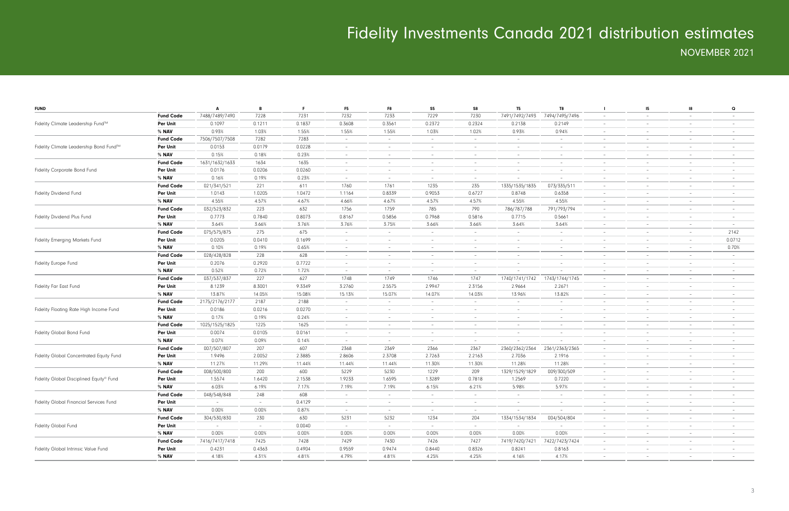| <b>FUND</b>                              |                  | Α                        | B      | F.     | F <sub>5</sub>                  | F8                       | S5                              | S8                       | T <sub>5</sub>           | T8                       |                          | 15                              | -18                      | $\mathbf Q$              |
|------------------------------------------|------------------|--------------------------|--------|--------|---------------------------------|--------------------------|---------------------------------|--------------------------|--------------------------|--------------------------|--------------------------|---------------------------------|--------------------------|--------------------------|
|                                          | <b>Fund Code</b> | 7488/7489/7490           | 7228   | 7231   | 7232                            | 7233                     | 7229                            | 7230                     | 7491/7492/7493           | 7494/7495/7496           | $\overline{\phantom{a}}$ | $\hspace{0.1mm}-\hspace{0.1mm}$ | $\overline{\phantom{a}}$ |                          |
| Fidelity Climate Leadership Fund™        | Per Unit         | 0.1097                   | 0.1211 | 0.1837 | 0.3608                          | 0.3561                   | 0.2372                          | 0.2324                   | 0.2138                   | 0.2149                   | $\overline{\phantom{a}}$ | $\overline{\phantom{a}}$        | $\overline{\phantom{m}}$ |                          |
|                                          | % NAV            | 0.93%                    | 1.03%  | 1.55%  | 1.55%                           | 1.55%                    | 1.03%                           | 1.02%                    | 0.93%                    | 0.94%                    | $\overline{\phantom{a}}$ | $\overline{\phantom{a}}$        | $\overline{\phantom{a}}$ |                          |
|                                          | <b>Fund Code</b> | 7506/7507/7508           | 7282   | 7283   | $\overline{\phantom{a}}$        | $\overline{\phantom{a}}$ | $-$                             |                          | $\sim$                   | $\overline{\phantom{a}}$ | $\overline{\phantom{a}}$ | $\overline{\phantom{a}}$        | $\overline{\phantom{a}}$ | $-$                      |
| Fidelity Climate Leadership Bond Fund™   | Per Unit         | 0.0153                   | 0.0179 | 0.0228 | $\overline{\phantom{a}}$        |                          | $\overline{\phantom{a}}$        |                          | $\overline{\phantom{a}}$ | $\overline{\phantom{a}}$ | $\qquad \qquad -$        |                                 |                          |                          |
|                                          | % NAV            | 0.15%                    | 0.18%  | 0.23%  | $\overline{\phantom{a}}$        | $\sim$                   | $\hspace{0.1mm}-\hspace{0.1mm}$ |                          | $\sim$                   | $\overline{\phantom{a}}$ | $\overline{\phantom{a}}$ | $\overline{\phantom{a}}$        | $\overline{\phantom{a}}$ |                          |
|                                          | <b>Fund Code</b> | 1631/1632/1633           | 1634   | 1635   | $\overline{\phantom{a}}$        | $\sim$                   | $\hspace{0.1mm}-\hspace{0.1mm}$ | $\overline{\phantom{0}}$ | $\sim$                   | $\overline{\phantom{a}}$ | $\overline{\phantom{a}}$ | $\overline{\phantom{a}}$        | $\sim$                   | $\overline{\phantom{0}}$ |
| Fidelity Corporate Bond Fund             | Per Unit         | 0.0176                   | 0.0206 | 0.0260 | $\overline{\phantom{a}}$        | $\overline{\phantom{a}}$ | $\hspace{0.1mm}-\hspace{0.1mm}$ |                          | $\overline{\phantom{a}}$ | $\overline{\phantom{a}}$ | $\qquad \qquad -$        | $\overline{\phantom{a}}$        | $\qquad \qquad -$        |                          |
|                                          | % NAV            | 0.16%                    | 0.19%  | 0.23%  | $\overline{\phantom{a}}$        | $\overline{\phantom{a}}$ | $\hspace{0.1mm}-\hspace{0.1mm}$ |                          |                          |                          | $\overline{\phantom{a}}$ | $\overline{\phantom{a}}$        | $\overline{\phantom{a}}$ |                          |
|                                          | <b>Fund Code</b> | 021/341/521              | 221    | 611    | 1760                            | 1761                     | 1235                            | 235                      | 1335/1535/1835           | 073/335/511              | $\overline{\phantom{a}}$ | $\overline{\phantom{a}}$        | $\overline{\phantom{a}}$ |                          |
| <b>Fidelity Dividend Fund</b>            | Per Unit         | 1.0143                   | 1.0205 | 1.0472 | 1.1164                          | 0.8339                   | 0.9053                          | 0.6727                   | 0.8748                   | 0.6358                   | $\overline{\phantom{a}}$ |                                 |                          |                          |
|                                          | % NAV            | 4.55%                    | 4.57%  | 4.67%  | 4.66%                           | 4.67%                    | 4.57%                           | 4.57%                    | 4.55%                    | 4.55%                    | $\sim$                   | $\overline{\phantom{a}}$        | $\overline{\phantom{a}}$ |                          |
|                                          | <b>Fund Code</b> | 032/523/832              | 223    | 632    | 1756                            | 1759                     | 785                             | 790                      | 786/787/788              | 791/793/794              | $\overline{\phantom{a}}$ | $\overline{\phantom{a}}$        | $\overline{\phantom{a}}$ | $\overline{\phantom{0}}$ |
| Fidelity Dividend Plus Fund              | Per Unit         | 0.7773                   | 0.7840 | 0.8073 | 0.8167                          | 0.5856                   | 0.7968                          | 0.5816                   | 0.7715                   | 0.5661                   | $\qquad \qquad -$        |                                 | $\qquad \qquad -$        |                          |
|                                          | % NAV            | 3.64%                    | 3.66%  | 3.76%  | 3.76%                           | 3.75%                    | 3.66%                           | 3.66%                    | 3.64%                    | 3.64%                    | $\overline{\phantom{a}}$ | $\overline{\phantom{a}}$        | $\overline{\phantom{a}}$ | $\overline{\phantom{0}}$ |
|                                          | <b>Fund Code</b> | 075/575/875              | 275    | 675    | $\overline{\phantom{a}}$        | $\overline{\phantom{a}}$ | $\hspace{0.1mm}-\hspace{0.1mm}$ |                          | $\sim$                   | $\overline{\phantom{a}}$ | $\overline{\phantom{a}}$ | $\overline{\phantom{a}}$        | $\overline{\phantom{a}}$ | 2142                     |
| Fidelity Emerging Markets Fund           | Per Unit         | 0.0205                   | 0.0410 | 0.1699 | $\overline{\phantom{a}}$        |                          | $\overline{\phantom{a}}$        |                          | $\overline{\phantom{a}}$ | $\overline{\phantom{a}}$ | $\qquad \qquad -$        |                                 | $\qquad \qquad -$        | 0.0712                   |
|                                          | % NAV            | 0.10%                    | 0.19%  | 0.65%  | $\overline{\phantom{a}}$        | $\overline{\phantom{a}}$ | $\sim$                          |                          | $\sim$                   | $\overline{\phantom{a}}$ | $\overline{\phantom{a}}$ | $\overline{\phantom{a}}$        | $\overline{\phantom{a}}$ | 0.70%                    |
|                                          | <b>Fund Code</b> | 028/428/828              | 228    | 628    | $\overline{\phantom{a}}$        | $\overline{\phantom{a}}$ | $\hspace{0.1mm}-\hspace{0.1mm}$ | $\qquad \qquad -$        | $\sim$                   | $\overline{\phantom{a}}$ | $\overline{\phantom{a}}$ | $\overline{\phantom{a}}$        | $\overline{\phantom{a}}$ | $-$                      |
| Fidelity Europe Fund                     | Per Unit         | 0.2076                   | 0.2920 | 0.7722 | $\overline{\phantom{a}}$        | $\overline{\phantom{a}}$ | $\hspace{0.1mm}-\hspace{0.1mm}$ |                          | $\overline{\phantom{a}}$ | $\overline{\phantom{a}}$ | $\qquad \qquad -$        |                                 | $\overline{\phantom{a}}$ |                          |
| % NAV                                    |                  | 0.52%                    | 0.72%  | 1.72%  | $\overline{\phantom{a}}$        | $\overline{\phantom{a}}$ | $\hspace{0.1mm}-\hspace{0.1mm}$ |                          |                          |                          | $\overline{\phantom{a}}$ |                                 | $\overline{\phantom{a}}$ |                          |
|                                          | <b>Fund Code</b> | 037/537/837              | 227    | 627    | 1748                            | 1749                     | 1746                            | 1747                     | 1740/1741/1742           | 1743/1744/1745           | $\overline{\phantom{a}}$ | $\overline{\phantom{a}}$        | $\overline{\phantom{a}}$ |                          |
| Fidelity Far East Fund                   | Per Unit         | 8.1239                   | 8.3001 | 9.3349 | 3.2760                          | 2.5575                   | 2.9947                          | 2.3156                   | 2.9664                   | 2.2671                   | $\overline{\phantom{a}}$ |                                 |                          |                          |
|                                          | % NAV            | 13.87%                   | 14.05% | 15.08% | 15.13%                          | 15.07%                   | 14.07%                          | 14.03%                   | 13.96%                   | 13.82%                   | $\overline{\phantom{a}}$ | $\overline{\phantom{a}}$        | $\overline{\phantom{a}}$ |                          |
|                                          | <b>Fund Code</b> | 2175/2176/2177           | 2187   | 2188   | $\hspace{0.1mm}-\hspace{0.1mm}$ | $\sim$                   | $\hspace{0.1mm}-\hspace{0.1mm}$ | $\overline{\phantom{0}}$ | $\sim$                   | $\overline{\phantom{a}}$ | $\overline{\phantom{a}}$ | $\overline{\phantom{a}}$        | $\overline{\phantom{a}}$ | $\overline{\phantom{0}}$ |
| Fidelity Floating Rate High Income Fund  | Per Unit         | 0.0186                   | 0.0216 | 0.0270 | $\overline{\phantom{a}}$        | $\overline{\phantom{a}}$ | $\hspace{0.1mm}-\hspace{0.1mm}$ |                          | $\sim$                   | $\overline{\phantom{a}}$ | $\qquad \qquad -$        | $\overline{\phantom{a}}$        |                          |                          |
|                                          | % NAV            | 0.17%                    | 0.19%  | 0.24%  | $\overline{\phantom{a}}$        | $\sim$                   | $\hspace{0.1mm}-\hspace{0.1mm}$ |                          | $\sim$                   | $\overline{\phantom{a}}$ | $\overline{\phantom{a}}$ | $\overline{\phantom{a}}$        | $\overline{\phantom{a}}$ |                          |
|                                          | <b>Fund Code</b> | 1025/1525/1825           | 1225   | 1625   | $\overline{\phantom{a}}$        |                          | $\hspace{0.1mm}-\hspace{0.1mm}$ |                          | $\overline{\phantom{a}}$ | $\overline{\phantom{a}}$ | $\overline{\phantom{a}}$ | $\overline{\phantom{a}}$        | $\overline{\phantom{a}}$ |                          |
| Fidelity Global Bond Fund                | Per Unit         | 0.0074                   | 0.0105 | 0.0161 | $\overline{\phantom{a}}$        | $\overline{\phantom{a}}$ | $\hspace{0.1mm}-\hspace{0.1mm}$ |                          | $\overline{\phantom{a}}$ | $\overline{\phantom{a}}$ | $\overline{\phantom{a}}$ | $\overline{\phantom{a}}$        |                          |                          |
|                                          | % NAV            | 0.07%                    | 0.09%  | 0.14%  | $\overline{\phantom{a}}$        | $\sim$                   | $\sim$                          |                          |                          |                          | $\overline{\phantom{a}}$ | $\overline{\phantom{a}}$        | $\overline{\phantom{a}}$ |                          |
|                                          | <b>Fund Code</b> | 007/507/807              | 207    | 607    | 2368                            | 2369                     | 2366                            | 2367                     | 2360/2362/2364           | 2361/2363/2365           | $\overline{\phantom{a}}$ | $\overline{\phantom{a}}$        | $\overline{\phantom{m}}$ | $\overline{\phantom{0}}$ |
| Fidelity Global Concentrated Equity Fund | Per Unit         | 1.9496                   | 2.0052 | 2.3885 | 2.8606                          | 2.3708                   | 2.7263                          | 2.2163                   | 2.7036                   | 2.1916                   | $\qquad \qquad -$        |                                 |                          |                          |
|                                          | % <b>NAV</b>     | 11.27%                   | 11.29% | 11.44% | 11.44%                          | 11.44%                   | 11.30%                          | 11.30%                   | 11.28%                   | 11.28%                   | $\overline{\phantom{a}}$ | $\overline{\phantom{a}}$        | $\overline{\phantom{a}}$ |                          |
|                                          | <b>Fund Code</b> | 008/500/800              | 200    | 600    | 5229                            | 5230                     | 1229                            | 209                      | 1329/1529/1829           | 009/300/509              | $\overline{\phantom{a}}$ | $\overline{\phantom{a}}$        | $\qquad \qquad -$        |                          |
| Fidelity Global Disciplined Equity® Fund | <b>Per Unit</b>  | 1.5574                   | 1.6420 | 2.1538 | 1.9233                          | 1.6595                   | 1.3289                          | 0.7818                   | 1.2569                   | 0.7220                   | $\overline{\phantom{a}}$ |                                 | $\overline{\phantom{m}}$ |                          |
|                                          | % NAV            | 6.03%                    | 6.19%  | 7.17%  | 7.19%                           | 7.19%                    | 6.15%                           | 6.21%                    | 5.98%                    | 5.97%                    | $\qquad \qquad -$        |                                 |                          |                          |
|                                          | <b>Fund Code</b> | 048/548/848              | 248    | 608    | $\overline{\phantom{a}}$        |                          |                                 |                          | $\overline{\phantom{a}}$ |                          | $\overline{\phantom{a}}$ | $\hspace{0.1mm}-\hspace{0.1mm}$ |                          |                          |
| Fidelity Global Financial Services Fund  | Per Unit         | $\overline{\phantom{a}}$ | $\sim$ | 0.4129 | $\overline{\phantom{a}}$        | $\overline{\phantom{a}}$ | $\hspace{0.1mm}-\hspace{0.1mm}$ | $\sim$                   | $\overline{\phantom{a}}$ | $\overline{\phantom{a}}$ | $\overline{\phantom{a}}$ | $\hspace{0.1mm}-\hspace{0.1mm}$ | $\overline{\phantom{a}}$ |                          |
|                                          | $%$ NAV          | 0.00%                    | 0.00%  | 0.87%  | $\sim$                          | $\sim$                   | $\hspace{0.1mm}-\hspace{0.1mm}$ |                          | $\overline{\phantom{a}}$ |                          | $\overline{\phantom{a}}$ | $\overline{\phantom{a}}$        | $\overline{\phantom{a}}$ |                          |
|                                          | <b>Fund Code</b> | 304/530/830              | 230    | 630    | 5231                            | 5232                     | 1234                            | 204                      | 1334/1534/1834           | 004/504/804              | $\overline{\phantom{a}}$ | $\overline{\phantom{a}}$        | $\overline{\phantom{a}}$ |                          |
| <b>Fidelity Global Fund</b>              | Per Unit         | $\sim$                   | $\sim$ | 0.0040 | $\sim$                          | $-$                      | $\sim$                          | $\overline{\phantom{a}}$ |                          |                          | $\overline{\phantom{a}}$ | $\overline{\phantom{a}}$        | $\overline{\phantom{a}}$ |                          |
|                                          | % <b>NAV</b>     | 0.00%                    | 0.00%  | 0.00%  | 0.00%                           | 0.00%                    | 0.00%                           | 0.00%                    | 0.00%                    | 0.00%                    | $\overline{\phantom{a}}$ | $\overline{\phantom{a}}$        | $\overline{\phantom{a}}$ |                          |
|                                          | <b>Fund Code</b> | 7416/7417/7418           | 7425   | 7428   | 7429                            | 7430                     | 7426                            | 7427                     | 7419/7420/7421           | 7422/7423/7424           | $\overline{\phantom{a}}$ | $\overline{\phantom{a}}$        | $\overline{\phantom{a}}$ |                          |
| Fidelity Global Intrinsic Value Fund     | Per Unit         | 0.4231                   | 0.4363 | 0.4904 | 0.9559                          | 0.9474                   | 0.8440                          | 0.8326                   | 0.8241                   | 0.8163                   | $\overline{\phantom{a}}$ |                                 |                          |                          |
|                                          | % <b>NAV</b>     | 4.18%                    | 4.31%  | 4.81%  | 4.79%                           | 4.81%                    | 4.25%                           | 4.25%                    | 4.16%                    | 4.17%                    | $\overline{\phantom{a}}$ | $\overline{\phantom{a}}$        |                          |                          |
|                                          |                  |                          |        |        |                                 |                          |                                 |                          |                          |                          |                          |                                 |                          |                          |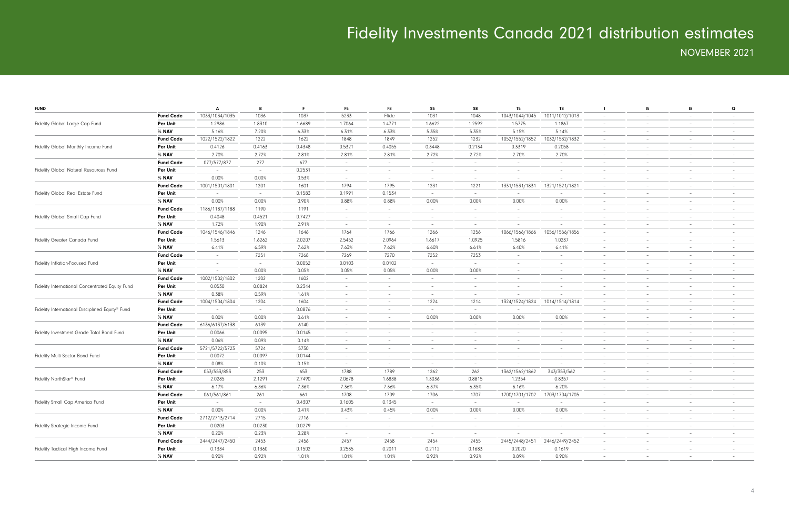| <b>FUND</b>                                     |                  | A                        | B      | F.     | F <sub>5</sub>           | F8                       | S5                              | S8                       | T <sub>5</sub>           | T8                       |                          | 15                              | - 18                     | $\mathbf Q$              |
|-------------------------------------------------|------------------|--------------------------|--------|--------|--------------------------|--------------------------|---------------------------------|--------------------------|--------------------------|--------------------------|--------------------------|---------------------------------|--------------------------|--------------------------|
|                                                 | <b>Fund Code</b> | 1033/1034/1035           | 1036   | 1037   | 5233                     | Ffide                    | 1031                            | 1048                     | 1043/1044/1045           | 1011/1012/1013           | $\sim$                   | $\hspace{0.1mm}-\hspace{0.1mm}$ | $-$                      | $-$                      |
| Fidelity Global Large Cap Fund                  | Per Unit         | 1.2986                   | 1.8310 | 1.6689 | 1.7064                   | 1.4771                   | 1.6622                          | 1.2592                   | 1.5775                   | 1.1867                   | $\overline{\phantom{a}}$ | $\overline{\phantom{m}}$        | $-$                      | $-$                      |
|                                                 | % NAV            | 5.16%                    | 7.20%  | 6.33%  | 6.31%                    | 6.33%                    | 5.35%                           | 5.35%                    | 5.15%                    | 5.14%                    | $\sim$                   | $\overline{\phantom{m}}$        | $\overline{\phantom{0}}$ | $-$                      |
|                                                 | <b>Fund Code</b> | 1022/1522/1822           | 1222   | 1622   | 1848                     | 1849                     | 1252                            | 1232                     | 1052/1552/1852           | 1032/1532/1832           | $\overline{\phantom{a}}$ | $\overline{\phantom{m}}$        | $-$                      | $-$                      |
| Fidelity Global Monthly Income Fund             | Per Unit         | 0.4126                   | 0.4163 | 0.4348 | 0.5321                   | 0.4055                   | 0.3448                          | 0.2134                   | 0.3319                   | 0.2058                   | $\overline{\phantom{a}}$ | $\overline{\phantom{m}}$        | $-$                      | $-$                      |
|                                                 | % NAV            | 2.70%                    | 2.72%  | 2.81%  | 2.81%                    | 2.81%                    | 2.72%                           | 2.72%                    | 2.70%                    | 2.70%                    | $\overline{\phantom{a}}$ | $\qquad \qquad -$               | $\overline{\phantom{0}}$ | $\overline{\phantom{a}}$ |
|                                                 | <b>Fund Code</b> | 077/577/877              | 277    | 677    | $\overline{\phantom{a}}$ | $\overline{\phantom{0}}$ | $\overline{\phantom{a}}$        | $\overline{\phantom{0}}$ | $\sim$                   | $\overline{\phantom{a}}$ | $\overline{\phantom{a}}$ | $\overline{\phantom{m}}$        | $-$                      | $-$                      |
| Fidelity Global Natural Resources Fund          | Per Unit         | $\sim$                   | $-$    | 0.2531 | $-$                      | $\sim$                   | $-$                             | $\overline{\phantom{0}}$ | $\sim$                   | $\sim$                   | $\overline{\phantom{a}}$ | $\overline{\phantom{m}}$        | $-$                      | $-$                      |
|                                                 | % NAV            | 0.00%                    | 0.00%  | 0.53%  | $-$                      | $\overline{\phantom{0}}$ | $-$                             | $\overline{\phantom{0}}$ | $\sim$                   | $\overline{\phantom{a}}$ | $\overline{\phantom{a}}$ | $\sim$                          | $\overline{\phantom{0}}$ | $-$                      |
|                                                 | <b>Fund Code</b> | 1001/1501/1801           | 1201   | 1601   | 1794                     | 1795                     | 1231                            | 1221                     | 1331/1531/1831           | 1321/1521/1821           | $\overline{\phantom{a}}$ | $\overline{\phantom{m}}$        | $-$                      | $-$                      |
| Fidelity Global Real Estate Fund                | Per Unit         | $\overline{\phantom{0}}$ | $\sim$ | 0.1583 | 0.1991                   | 0.1534                   | $-$                             | $\overline{\phantom{0}}$ | $\sim$                   | $\overline{\phantom{a}}$ | $\overline{\phantom{a}}$ | $\overline{\phantom{m}}$        | $-$                      | $-$                      |
|                                                 | % <b>NAV</b>     | 0.00%                    | 0.00%  | 0.90%  | 0.88%                    | 0.88%                    | 0.00%                           | 0.00%                    | 0.00%                    | 0.00%                    | $\overline{\phantom{a}}$ | $\overline{\phantom{m}}$        | $\overline{\phantom{0}}$ | $\overline{\phantom{a}}$ |
|                                                 | <b>Fund Code</b> | 1186/1187/1188           | 1190   | 1191   | $\overline{\phantom{a}}$ | $\sim$                   | $\overline{\phantom{a}}$        | $\overline{\phantom{0}}$ | $\sim$                   | $\overline{\phantom{a}}$ | $\overline{\phantom{a}}$ | $\overline{\phantom{m}}$        | $-$                      | $-$                      |
| Fidelity Global Small Cap Fund                  | <b>Per Unit</b>  | 0.4048                   | 0.4521 | 0.7427 | $-$                      | $\sim$                   | $-$                             | $\overline{\phantom{0}}$ | $\sim$                   | $\sim$                   | $\overline{\phantom{a}}$ | $\overline{\phantom{m}}$        | $-$                      | $-$                      |
|                                                 | % NAV            | 1.72%                    | 1.90%  | 2.91%  | $-$                      | $\overline{\phantom{0}}$ | $-$                             | $\overline{\phantom{0}}$ | $\sim$                   | $\overline{\phantom{a}}$ | $\overline{\phantom{a}}$ | $\sim$                          | $\overline{\phantom{0}}$ | $-$                      |
|                                                 | <b>Fund Code</b> | 1046/1546/1846           | 1246   | 1646   | 1764                     | 1766                     | 1266                            | 1256                     | 1066/1566/1866           | 1056/1556/1856           | $\overline{\phantom{a}}$ | $\overline{\phantom{m}}$        | $-$                      | $-$                      |
| Fidelity Greater Canada Fund                    | <b>Per Unit</b>  | 1.5613                   | 1.6262 | 2.0207 | 2.5452                   | 2.0964                   | 1.6617                          | 1.0925                   | 1.5816                   | 1.0237                   | $\overline{\phantom{a}}$ | $\overline{\phantom{m}}$        | $-$                      | $-$                      |
|                                                 | % NAV            | 6.41%                    | 6.59%  | 7.62%  | 7.63%                    | 7.62%                    | 6.60%                           | 6.61%                    | 6.40%                    | 6.41%                    | $\overline{\phantom{a}}$ | $\overline{\phantom{m}}$        | $\overline{\phantom{0}}$ | $\overline{\phantom{a}}$ |
|                                                 | <b>Fund Code</b> | $\overline{\phantom{0}}$ | 7251   | 7268   | 7269                     | 7270                     | 7252                            | 7253                     | $\overline{\phantom{0}}$ | $\overline{\phantom{a}}$ | $\overline{\phantom{a}}$ | $\overline{\phantom{m}}$        | $-$                      | $-$                      |
| Fidelity Inflation-Focused Fund                 | <b>Per Unit</b>  | $\sim$                   | $-$    | 0.0052 | 0.0103                   | 0.0102                   | $-$                             | $\overline{\phantom{0}}$ | $\sim$                   | $\sim$                   | $\overline{\phantom{a}}$ | $\overline{\phantom{m}}$        | $-$                      | $-$                      |
|                                                 | % NAV            | $\sim$                   | 0.00%  | 0.05%  | 0.05%                    | 0.05%                    | 0.00%                           | 0.00%                    | $-$                      | $\sim$                   | $\overline{\phantom{a}}$ | $\sim$                          | $\overline{\phantom{0}}$ | $-$                      |
|                                                 | <b>Fund Code</b> | 1002/1502/1802           | 1202   | 1602   | $\overline{\phantom{a}}$ | $\overline{\phantom{0}}$ | $\overline{\phantom{a}}$        | $\overline{\phantom{0}}$ | $\sim$                   | $\overline{\phantom{a}}$ | $\overline{\phantom{a}}$ | $\overline{\phantom{m}}$        | $-$                      | $-$                      |
| Fidelity International Concentrated Equity Fund | <b>Per Unit</b>  | 0.0530                   | 0.0824 | 0.2344 | $\overline{\phantom{a}}$ | $\sim$                   | $\sim$                          | $\overline{\phantom{0}}$ | $\sim$                   | $\overline{\phantom{a}}$ | $\overline{\phantom{a}}$ | $\overline{\phantom{m}}$        | $-$                      | $-$                      |
|                                                 | % NAV            | 0.38%                    | 0.59%  | 1.61%  | $\overline{\phantom{a}}$ | $-$                      | $\overline{\phantom{a}}$        | $\overline{\phantom{0}}$ |                          |                          | $\overline{\phantom{a}}$ | $\overline{\phantom{m}}$        | $-$                      | $\overline{\phantom{a}}$ |
|                                                 | <b>Fund Code</b> | 1004/1504/1804           | 1204   | 1604   | $\overline{\phantom{a}}$ | $\sim$                   | 1224                            | 1214                     | 1324/1524/1824           | 1014/1514/1814           | $\overline{\phantom{a}}$ | $\overline{\phantom{m}}$        | $-$                      | $-$                      |
| Fidelity International Disciplined Equity® Fund | <b>Per Unit</b>  | $\overline{\phantom{0}}$ | $-$    | 0.0876 | $\overline{\phantom{a}}$ | $\sim$                   | $-$                             | $\overline{\phantom{0}}$ | $\overline{\phantom{0}}$ | $\sim$                   | $\overline{\phantom{a}}$ | $\overline{\phantom{m}}$        | $-$                      | $-$                      |
|                                                 | % NAV            | 0.00%                    | 0.00%  | 0.61%  | $\overline{\phantom{a}}$ | $\sim$                   | 0.00%                           | 0.00%                    | 0.00%                    | 0.00%                    | $\overline{\phantom{a}}$ | $\sim$                          | $\overline{\phantom{0}}$ | $-$                      |
|                                                 | <b>Fund Code</b> | 6136/6137/6138           | 6139   | 6140   | $\overline{\phantom{m}}$ | $\overline{\phantom{0}}$ | $\overline{\phantom{a}}$        | $\overline{\phantom{0}}$ | $\sim$                   | $\overline{\phantom{a}}$ | $\overline{\phantom{a}}$ | $\overline{\phantom{m}}$        | $-$                      | $-$                      |
| Fidelity Investment Grade Total Bond Fund       | <b>Per Unit</b>  | 0.0066                   | 0.0095 | 0.0145 | $\overline{\phantom{a}}$ | $\sim$                   | $\overline{\phantom{a}}$        | $\overline{\phantom{0}}$ | $-$                      | $\overline{\phantom{a}}$ | $\overline{\phantom{a}}$ | $\overline{\phantom{m}}$        | $-$                      | $-$                      |
|                                                 | % NAV            | 0.06%                    | 0.09%  | 0.14%  | $\overline{\phantom{a}}$ | $-$                      | $\overline{\phantom{a}}$        | $\overline{\phantom{0}}$ | $\sim$                   | $\overline{\phantom{a}}$ | $\overline{\phantom{a}}$ | $\overline{\phantom{m}}$        | $-$                      | $\overline{\phantom{a}}$ |
|                                                 | <b>Fund Code</b> | 5721/5722/5723           | 5724   | 5730   | $\overline{\phantom{a}}$ | $\overline{\phantom{a}}$ | $-$                             | $\overline{\phantom{0}}$ | $\sim$                   | $\overline{\phantom{a}}$ | $\overline{\phantom{a}}$ | $\overline{\phantom{m}}$        | $-$                      | $-$                      |
| Fidelity Multi-Sector Bond Fund                 | <b>Per Unit</b>  | 0.0072                   | 0.0097 | 0.0144 | $\overline{\phantom{a}}$ | $\sim$                   | $\overline{\phantom{a}}$        | $\overline{\phantom{0}}$ | $\sim$                   | $\sim$                   | $\overline{\phantom{a}}$ | $\overline{\phantom{m}}$        | $-$                      | $-$                      |
|                                                 | % NAV            | 0.08%                    | 0.10%  | 0.15%  | $\sim$                   | $\overline{\phantom{0}}$ | $-$                             | $\overline{\phantom{0}}$ | $-$                      | $\overline{\phantom{a}}$ | $\overline{\phantom{a}}$ | $\sim$                          | $\overline{\phantom{0}}$ | $-$                      |
|                                                 | <b>Fund Code</b> | 053/553/853              | 253    | 653    | 1788                     | 1789                     | 1262                            | 262                      | 1362/1562/1862           | 343/353/562              | $\overline{\phantom{a}}$ | $\overline{\phantom{a}}$        | $\overline{\phantom{0}}$ | $\overline{\phantom{a}}$ |
| Fidelity NorthStar <sup>®</sup> Fund            | Per Unit         | 2.0285                   | 2.1291 | 2.7490 | 2.0678                   | 1.6838                   | 1.3036                          | 0.8815                   | 1.2354                   | 0.8357                   | $\overline{\phantom{a}}$ | $\overline{\phantom{a}}$        | $\overline{\phantom{0}}$ | $-$                      |
|                                                 | % NAV            | 6.17%                    | 6.36%  | 7.36%  | 7.36%                    | 7.36%                    | 6.37%                           | 6.35%                    | 6.16%                    | 6.20%                    | $\overline{\phantom{m}}$ | $\overline{\phantom{a}}$        |                          |                          |
|                                                 | <b>Fund Code</b> | 061/561/861              | 261    | 661    | 1708                     | 1709                     | 1706                            | 1707                     | 1700/1701/1702           | 1703/1704/1705           | $\overline{\phantom{a}}$ | $\hspace{0.1mm}-\hspace{0.1mm}$ | $-$                      |                          |
| Fidelity Small Cap America Fund                 | Per Unit         | $\sim$                   | $\sim$ | 0.4307 | 0.1605                   | 0.1345                   | $\sim$                          | $\sim$                   | $\sim$                   | $\sim$                   | $\overline{\phantom{a}}$ | $\overline{\phantom{a}}$        | $-$                      | $-$                      |
|                                                 | $%$ NAV          | 0.00%                    | 0.00%  | 0.41%  | 0.43%                    | 0.45%                    | 0.00%                           | 0.00%                    | 0.00%                    | 0.00%                    | $\sim$                   | $\hspace{0.1mm}-\hspace{0.1mm}$ | $\sim$                   | $\overline{\phantom{0}}$ |
|                                                 | <b>Fund Code</b> | 2712/2713/2714           | 2715   | 2716   | $\sim$                   | $\sim$                   | $\hspace{0.1mm}-\hspace{0.1mm}$ | $\overline{\phantom{0}}$ | $\sim$                   | $\overline{\phantom{a}}$ | $\overline{\phantom{a}}$ | $\overline{\phantom{a}}$        | $\overline{\phantom{0}}$ | $\overline{\phantom{0}}$ |
| Fidelity Strategic Income Fund                  | Per Unit         | 0.0203                   | 0.0230 | 0.0279 | $\overline{\phantom{a}}$ | $\sim$                   | $-$                             | $\overline{\phantom{0}}$ | $\sim$                   | $\overline{\phantom{a}}$ | $\overline{\phantom{a}}$ | $\overline{\phantom{a}}$        | $\overline{\phantom{0}}$ | $\overline{\phantom{0}}$ |
|                                                 | $%$ NAV          | 0.20%                    | 0.23%  | 0.28%  | $\sim$                   | $-$                      | $-$                             | $\overline{\phantom{a}}$ | $\sim$                   |                          | $\overline{\phantom{a}}$ | $\overline{\phantom{a}}$        | $-$                      | $-$                      |
|                                                 | <b>Fund Code</b> | 2444/2447/2450           | 2453   | 2456   | 2457                     | 2458                     | 2454                            | 2455                     | 2445/2448/2451           | 2446/2449/2452           | $\overline{\phantom{a}}$ | $\overline{\phantom{a}}$        | $\overline{\phantom{0}}$ | $\overline{\phantom{0}}$ |
| Fidelity Tactical High Income Fund              | Per Unit         | 0.1334                   | 0.1360 | 0.1502 | 0.2535                   | 0.2011                   | 0.2112                          | 0.1683                   | 0.2020                   | 0.1619                   | $\overline{\phantom{a}}$ | $\hspace{0.1mm}-\hspace{0.1mm}$ | $-$                      | $-$                      |
|                                                 | $%$ NAV          | 0.90%                    | 0.92%  | 1.01%  | 1.01%                    | 1.01%                    | 0.92%                           | 0.92%                    | 0.89%                    | 0.90%                    | $\overline{\phantom{a}}$ | $\overline{\phantom{a}}$        | $-$                      | $\overline{\phantom{0}}$ |
|                                                 |                  |                          |        |        |                          |                          |                                 |                          |                          |                          |                          |                                 |                          |                          |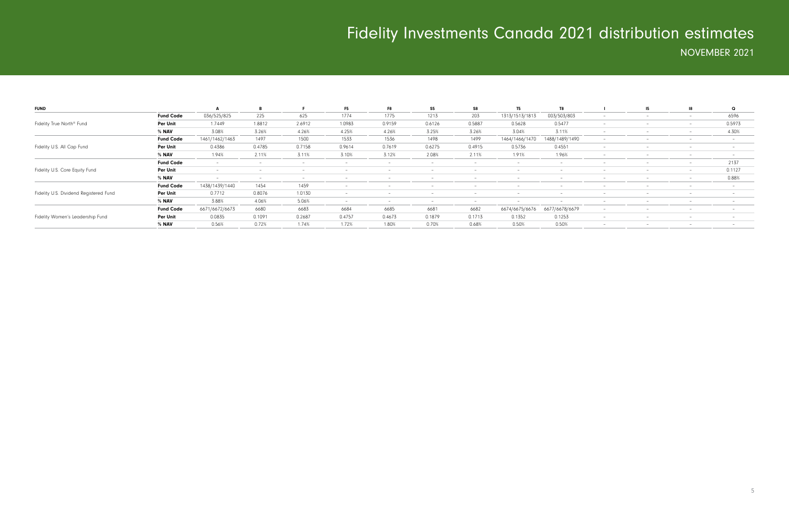| <b>FUND</b>                                                                |                  |                |                          |        | F <sub>5</sub>           | F8     | S <sub>5</sub> | S8     | <b>T5</b>      |                |                          | -15                      | 18                       | $\Omega$ |
|----------------------------------------------------------------------------|------------------|----------------|--------------------------|--------|--------------------------|--------|----------------|--------|----------------|----------------|--------------------------|--------------------------|--------------------------|----------|
|                                                                            | <b>Fund Code</b> | 036/525/825    | 225                      | 625    | 1774                     | 1775   | 1213           | 203    | 1313/1513/1813 | 003/503/803    |                          |                          |                          | 6596     |
| Fidelity True North <sup>®</sup> Fund                                      | Per Unit         | 1.7449         | 1.8812                   | 2.6912 | 1.0983                   | 0.9159 | 0.6126         | 0.5887 | 0.5628         | 0.5477         | $\overline{\phantom{a}}$ |                          | $-$                      | 0.5973   |
|                                                                            | % NAV            | 3.08%          | 3.26%                    | 4.26%  | 4.25%                    | 4.26%  | 3.25%          | 3.26%  | 3.04%          | 3.11%          |                          |                          |                          | 4.30%    |
|                                                                            | <b>Fund Code</b> | 1461/1462/1463 | 1497                     | 1500   | 1533                     | 1536   | 1498           | 1499   | 1464/1466/1470 | 1488/1489/1490 |                          |                          |                          |          |
| Fidelity U.S. All Cap Fund                                                 | Per Unit         | 0.4386         | 0.4785                   | 0.7158 | 0.9614                   | 0.7619 | 0.6275         | 0.4915 | 0.5736         | 0.4551         | $\overline{\phantom{0}}$ | $\overline{\phantom{a}}$ | $\overline{\phantom{a}}$ |          |
|                                                                            | % NAV            | 1.94%          | 2.11%                    | 3.11%  | 3.10%                    | 3.12%  | 2.08%          | 2.11%  | 1.91%          | 1.96%          | $\overline{\phantom{0}}$ |                          |                          |          |
|                                                                            | <b>Fund Code</b> |                |                          |        |                          |        |                |        |                |                |                          |                          |                          | 2137     |
| Fidelity U.S. Core Equity Fund                                             | Per Unit         |                | $\overline{\phantom{0}}$ |        | $\overline{\phantom{0}}$ |        |                |        | $-$            |                | $\overline{\phantom{0}}$ | $\overline{\phantom{0}}$ | $\overline{\phantom{0}}$ | 0.1127   |
|                                                                            | % NAV            |                |                          |        |                          |        |                |        |                |                |                          |                          |                          | 0.88%    |
|                                                                            | <b>Fund Code</b> | 1438/1439/1440 | 1454                     | 1459   |                          |        |                |        |                |                |                          |                          |                          |          |
|                                                                            | Per Unit         | 0.7712         | 0.8076                   | 1.0130 |                          |        |                |        |                |                |                          |                          |                          |          |
|                                                                            | % NAV            | 3.88%          | 4.06%                    | 5.06%  | $\overline{\phantom{0}}$ |        |                |        |                |                |                          |                          |                          |          |
|                                                                            | <b>Fund Code</b> | 6671/6672/6673 | 6680                     | 6683   | 6684                     | 6685   | 6681           | 6682   | 6674/6675/6676 | 6677/6678/6679 | $\overline{\phantom{a}}$ |                          |                          |          |
|                                                                            | Per Unit         | 0.0835         | 0.1091                   | 0.2687 | 0.4757                   | 0.4673 | 0.1879         | 0.1713 | 0.1352         | 0.1253         | $\overline{\phantom{a}}$ | $\overline{\phantom{0}}$ | $\overline{\phantom{0}}$ |          |
|                                                                            | % NAV            | 0.56%          | 0.72%                    | 1.74%  | 1.72%                    | 1.80%  | 0.70%          | 0.68%  | 0.50%          | 0.50%          | $\overline{\phantom{a}}$ | $\overline{\phantom{0}}$ | $-$                      |          |
| Fidelity U.S. Dividend Registered Fund<br>Fidelity Women's Leadership Fund |                  |                |                          |        |                          |        |                |        |                |                |                          |                          |                          |          |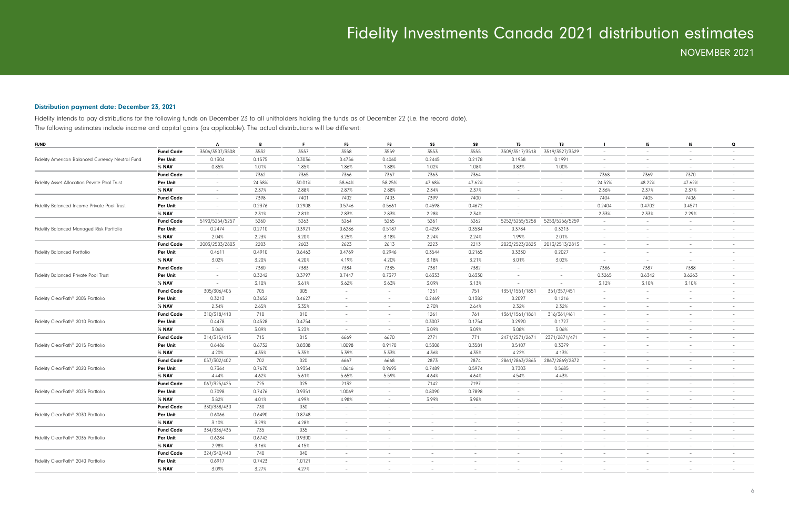### Distribution payment date: December 23, 2021

Fidelity intends to pay distributions for the following funds on December 23 to all unitholders holding the funds as of December 22 (i.e. the record date). The following estimates include income and capital gains (as applicable). The actual distributions will be different:

| <b>FUND</b>                                      |                  | A                        | B      | F      | F <sub>5</sub>           | F8                       | S <sub>5</sub>           | S8             | T <sub>5</sub>           | T8                       | $\mathbf{I}$             | 15                       | 18                       | Q                        |
|--------------------------------------------------|------------------|--------------------------|--------|--------|--------------------------|--------------------------|--------------------------|----------------|--------------------------|--------------------------|--------------------------|--------------------------|--------------------------|--------------------------|
|                                                  | <b>Fund Code</b> | 3506/3507/3508           | 3532   | 3557   | 3558                     | 3559                     | 3553                     | 3555           | 3509/3517/3518           | 3519/3527/3529           | $\sim$                   | $\overline{\phantom{a}}$ | $\overline{\phantom{a}}$ |                          |
| Fidelity American Balanced Currency Neutral Fund | <b>Per Unit</b>  | 0.1304                   | 0.1575 | 0.3036 | 0.4756                   | 0.4060                   | 0.2445                   | 0.2178         | 0.1958                   | 0.1991                   | $\overline{\phantom{a}}$ |                          | $\overline{\phantom{a}}$ |                          |
|                                                  | % NAV            | 0.85%                    | 1.01%  | 1.85%  | 1.86%                    | 1.88%                    | 1.02%                    | 1.08%          | 0.83%                    | 1.00%                    | $\sim$                   | $\overline{\phantom{a}}$ | $\overline{\phantom{a}}$ | $\overline{\phantom{a}}$ |
|                                                  | <b>Fund Code</b> | $\overline{\phantom{a}}$ | 7362   | 7365   | 7366                     | 7367                     | 7363                     | 7364           | $\sim$                   | $\overline{\phantom{a}}$ | 7368                     | 7369                     | 7370                     |                          |
| Fidelity Asset Allocation Private Pool Trust     | Per Unit         | $\sim$                   | 24.58% | 30.01% | 58.64%                   | 58.25%                   | 47.68%                   | 47.62%         | $\sim$                   | $\sim$                   | 24.52%                   | 48.22%                   | 47.62%                   |                          |
|                                                  | % NAV            | $\sim$                   | 2.37%  | 2.88%  | 2.87%                    | 2.88%                    | 2.34%                    | 2.37%          | $\sim$                   | $\sim$                   | 2.36%                    | 2.37%                    | 2.37%                    |                          |
|                                                  | <b>Fund Code</b> | $\overline{a}$           | 7398   | 7401   | 7402                     | 7403                     | 7399                     | 7400           | $\sim$                   | $\overline{a}$           | 7404                     | 7405                     | 7406                     | $\overline{a}$           |
| Fidelity Balanced Income Private Pool Trust      | Per Unit         | $\overline{\phantom{0}}$ | 0.2376 | 0.2908 | 0.5746                   | 0.5661                   | 0.4598                   | 0.4672         | $\overline{a}$           | $\overline{\phantom{a}}$ | 0.2404                   | 0.4702                   | 0.4571                   |                          |
|                                                  | % NAV            | $\sim$                   | 2.31%  | 2.81%  | 2.83%                    | 2.83%                    | 2.28%                    | 2.34%          |                          | $\overline{\phantom{a}}$ | 2.33%                    | 2.33%                    | 2.29%                    | $\overline{\phantom{0}}$ |
|                                                  | <b>Fund Code</b> | 5190/5254/5257           | 5260   | 5263   | 5264                     | 5265                     | 5261                     | 5262           | 5252/5255/5258           | 5253/5256/5259           | $-$                      | $\overline{\phantom{a}}$ | $\sim$                   |                          |
| Fidelity Balanced Managed Risk Portfolio         | Per Unit         | 0.2474                   | 0.2710 | 0.3921 | 0.6286                   | 0.5187                   | 0.4259                   | 0.3584         | 0.3784                   | 0.3213                   | $\sim$                   | $\overline{\phantom{a}}$ | $\sim$                   |                          |
|                                                  | % NAV            | 2.04%                    | 2.23%  | 3.20%  | 3.25%                    | 3.18%                    | 2.24%                    | 2.24%          | 1.99%                    | 2.01%                    | $\sim$                   | $\overline{\phantom{a}}$ | $\sim$                   |                          |
|                                                  | <b>Fund Code</b> | 2003/2503/2803           | 2203   | 2603   | 2623                     | 2613                     | 2223                     | 2213           | 2023/2523/2823           | 2013/2513/2813           | $\sim$                   | $\overline{\phantom{a}}$ | $\sim$                   | $\overline{\phantom{a}}$ |
| <b>Fidelity Balanced Portfolio</b>               | Per Unit         | 0.4611                   | 0.4910 | 0.6463 | 0.4769                   | 0.2946                   | 0.3544                   | 0.2165         | 0.3330                   | 0.2027                   | $\overline{\phantom{a}}$ | $\overline{\phantom{a}}$ | $\overline{\phantom{0}}$ |                          |
|                                                  | % NAV            | 3.02%                    | 3.20%  | 4.20%  | 4.19%                    | 4.20%                    | 3.18%                    | 3.21%          | 3.01%                    | 3.02%                    | $\sim$                   | $\overline{\phantom{a}}$ | $\sim$                   |                          |
|                                                  | <b>Fund Code</b> | $\sim$                   | 7380   | 7383   | 7384                     | 7385                     | 7381                     | 7382           | $\sim$                   | $\overline{\phantom{a}}$ | 7386                     | 7387                     | 7388                     |                          |
| Fidelity Balanced Private Pool Trust             | <b>Per Unit</b>  | $\sim$                   | 0.3242 | 0.3797 | 0.7447                   | 0.7377                   | 0.6333                   | 0.6330         | $\sim$                   | $\overline{\phantom{a}}$ | 0.3265                   | 0.6342                   | 0.6263                   |                          |
|                                                  | % NAV            | $\sim$                   | 3.10%  | 3.61%  | 3.62%                    | 3.63%                    | 3.09%                    | 3.13%          | $\sim$                   | $\sim$                   | 3.12%                    | 3.10%                    | 3.10%                    | $\overline{\phantom{a}}$ |
|                                                  | <b>Fund Code</b> | 305/306/405              | 705    | 005    | $-$                      | $\sim$                   | 1251                     | 751            | 1351/1551/1851           | 351/357/451              | $\sim$                   | $\overline{\phantom{a}}$ | $\sim$                   | $\overline{\phantom{0}}$ |
| Fidelity ClearPath® 2005 Portfolio               | <b>Per Unit</b>  | 0.3213                   | 0.3652 | 0.4627 | $\sim$                   | $\sim$                   | 0.2469                   | 0.1382         | 0.2097                   | 0.1216                   | $\sim$                   | $\overline{\phantom{a}}$ | $\sim$                   |                          |
|                                                  | % NAV            | 2.34%                    | 2.65%  | 3.35%  | $\overline{\phantom{a}}$ | $\sim$                   | 2.70%                    | 2.64%          | 2.32%                    | 2.32%                    | $\sim$                   | $\overline{\phantom{a}}$ | $\sim$                   |                          |
|                                                  | <b>Fund Code</b> | 310/318/410              | 710    | 010    | $\overline{\phantom{a}}$ | $\overline{\phantom{a}}$ | 1261                     | 761            | 1361/1561/1861           | 316/361/461              | $\sim$                   |                          | $\overline{\phantom{a}}$ |                          |
| Fidelity ClearPath <sup>®</sup> 2010 Portfolio   | <b>Per Unit</b>  | 0.4478                   | 0.4528 | 0.4754 | $\overline{\phantom{a}}$ | $\sim$                   | 0.3007                   | 0.1754         | 0.2990                   | 0.1727                   | $\sim$                   | $\overline{\phantom{a}}$ | $\overline{\phantom{a}}$ |                          |
|                                                  | % NAV            | 3.06%                    | 3.09%  | 3.23%  | $\overline{\phantom{a}}$ | $\sim$                   | 3.09%                    | 3.09%          | 3.08%                    | 3.06%                    | $\overline{\phantom{a}}$ |                          | $\overline{\phantom{a}}$ |                          |
|                                                  | <b>Fund Code</b> | 314/315/415              | 715    | 015    | 6669                     | 6670                     | 2771                     | 771            | 2471/2571/2671           | 2371/2871/471            | $\sim$                   | $\qquad \qquad -$        | $\overline{\phantom{a}}$ |                          |
| Fidelity ClearPath® 2015 Portfolio               | <b>Per Unit</b>  | 0.6486                   | 0.6732 | 0.8308 | 1.0098                   | 0.9170                   | 0.5308                   | 0.3581         | 0.5107                   | 0.3379                   | $\sim$                   | $\overline{\phantom{a}}$ | $\overline{\phantom{0}}$ |                          |
|                                                  | % NAV            | 4.20%                    | 4.35%  | 5.35%  | 5.39%                    | 5.33%                    | 4.36%                    | 4.35%          | 4.22%                    | 4.13%                    | $\overline{\phantom{a}}$ | $\qquad \qquad -$        | $\overline{\phantom{a}}$ |                          |
|                                                  | <b>Fund Code</b> | 057/302/402              | 702    | 020    | 6667                     | 6668                     | 2873                     | 2874           | 2861/2863/2865           | 2867/2869/2872           | $\sim$                   | $\overline{\phantom{a}}$ | $\overline{\phantom{a}}$ | $\overline{a}$           |
| Fidelity ClearPath® 2020 Portfolio               | <b>Per Unit</b>  | 0.7364                   | 0.7670 | 0.9354 | 1.0646                   | 0.9695                   | 0.7489                   | 0.5974         | 0.7303                   | 0.5685                   | $\overline{\phantom{a}}$ | $\qquad \qquad -$        | $\overline{\phantom{a}}$ |                          |
|                                                  | % NAV            | 4.44%                    | 4.62%  | 5.61%  | 5.65%                    | 5.59%                    | 4.64%                    | 4.64%          | 4.54%                    | 4.43%                    | $\sim$                   | $\overline{\phantom{a}}$ | $\sim$                   | $\overline{a}$           |
|                                                  | <b>Fund Code</b> | 067/325/425              | 725    | 025    | 2132                     | $\overline{\phantom{a}}$ | 7142                     | 7197           | $\sim$                   | $\overline{\phantom{a}}$ | $\overline{\phantom{a}}$ | $\overline{\phantom{a}}$ | $\overline{\phantom{a}}$ |                          |
| Fidelity ClearPath® 2025 Portfolio               | Per Unit         | 0.7098                   | 0.7476 | 0.9351 | 1.0069                   | $\sim$                   | 0.8090                   | 0.7898         | $\sim$                   | $\overline{\phantom{a}}$ | $\sim$                   | $\overline{\phantom{a}}$ | $\sim$                   |                          |
|                                                  | % NAV            | 3.82%                    | 4.01%  | 4.99%  | 4.98%                    | $\overline{\phantom{a}}$ | 3.99%                    | 3.98%          | $\sim$                   | $\overline{\phantom{a}}$ | $\overline{\phantom{a}}$ | $\overline{\phantom{a}}$ | $\overline{\phantom{a}}$ | $\overline{a}$           |
|                                                  | <b>Fund Code</b> | 330/338/430              | 730    | 030    | $\overline{a}$           | $\equiv$                 | $\overline{a}$           | $\overline{a}$ | $\overline{a}$           | $\overline{a}$           | $\sim$                   | $\overline{\phantom{a}}$ | $\overline{\phantom{a}}$ | $\overline{\phantom{0}}$ |
| Fidelity ClearPath® 2030 Portfolio               | <b>Per Unit</b>  | 0.6066                   | 0.6490 | 0.8748 | $\overline{\phantom{a}}$ | $\overline{\phantom{a}}$ | $\overline{\phantom{a}}$ |                | $\overline{\phantom{0}}$ | $\overline{\phantom{a}}$ | $\sim$                   | $\overline{\phantom{m}}$ | $\overline{\phantom{a}}$ |                          |
|                                                  | % NAV            | 3.10%                    | 3.29%  | 4.28%  | $\overline{\phantom{a}}$ | $\overline{\phantom{a}}$ | $\overline{\phantom{a}}$ |                | $\sim$                   | $\overline{\phantom{a}}$ | $\sim$                   | $\overline{\phantom{m}}$ | $\sim$                   |                          |
|                                                  | <b>Fund Code</b> | 334/336/435              | 735    | 035    | $\overline{\phantom{a}}$ | $\overline{\phantom{a}}$ | $-$                      |                | $\overline{\phantom{0}}$ | $\overline{\phantom{a}}$ | $\sim$                   | $\overline{\phantom{m}}$ | $\overline{\phantom{a}}$ |                          |
| Fidelity ClearPath® 2035 Portfolio               | Per Unit         | 0.6284                   | 0.6742 | 0.9300 | $\sim$                   | $\overline{\phantom{a}}$ | $\overline{\phantom{a}}$ |                | $\sim$                   | $\overline{\phantom{a}}$ | $\sim$                   | $\overline{\phantom{a}}$ | $\sim$                   |                          |
|                                                  | % NAV            | 2.98%                    | 3.16%  | 4.15%  | $\overline{\phantom{a}}$ | $\sim$                   | $\overline{a}$           | $\sim$         | $\sim$                   | $\sim$                   | $\sim$                   | $\overline{\phantom{a}}$ | $\sim$                   | $\overline{\phantom{0}}$ |
|                                                  | <b>Fund Code</b> | 324/340/440              | 740    | 040    | $\overline{\phantom{a}}$ | $\sim$                   | $-$                      | $\sim$         | $\sim$                   | $\overline{\phantom{a}}$ | $\sim$                   | $\overline{\phantom{a}}$ | $\sim$                   | $-$                      |
| Fidelity ClearPath® 2040 Portfolio               | Per Unit         | 0.6917                   | 0.7423 | 1.0121 | $\overline{\phantom{a}}$ | $\overline{\phantom{a}}$ | $\overline{\phantom{0}}$ |                | $\overline{\phantom{0}}$ | $\overline{\phantom{a}}$ | $\sim$                   |                          | $\overline{\phantom{0}}$ |                          |
|                                                  | % NAV            | 3.09%                    | 3.27%  | 4.27%  | $\equiv$                 |                          |                          |                | $\overline{\phantom{0}}$ |                          | $\overline{\phantom{a}}$ | $\overline{\phantom{m}}$ | $\overline{\phantom{0}}$ |                          |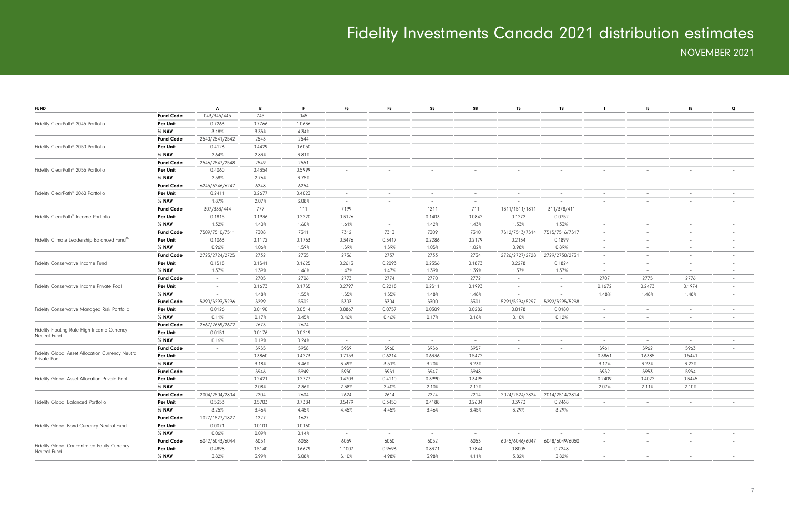| <b>FUND</b>                                                  |                  | A                        | B      | F.     | F <sub>5</sub>           | F8                       | S5                       | S8                       | T5                       | T8                       | -1                       | 15                                | 18                       | Q                        |
|--------------------------------------------------------------|------------------|--------------------------|--------|--------|--------------------------|--------------------------|--------------------------|--------------------------|--------------------------|--------------------------|--------------------------|-----------------------------------|--------------------------|--------------------------|
|                                                              | <b>Fund Code</b> | 043/345/445              | 745    | 045    | $\overline{\phantom{a}}$ | $\overline{\phantom{a}}$ | $\overline{\phantom{0}}$ |                          | $\overline{\phantom{0}}$ | $\overline{\phantom{a}}$ | $\overline{\phantom{a}}$ | $\overline{\phantom{a}}$          | $\overline{\phantom{0}}$ |                          |
| Fidelity ClearPath® 2045 Portfolio                           | Per Unit         | 0.7263                   | 0.7766 | 1.0636 | $\overline{\phantom{a}}$ | $\overline{\phantom{m}}$ | $\overline{\phantom{0}}$ | $\overline{\phantom{0}}$ | $-$                      | $-$                      | $\sim$                   | $\hspace{1.0cm} - \hspace{1.0cm}$ | $\sim$                   |                          |
|                                                              | % NAV            | 3.18%                    | 3.35%  | 4.34%  | $\overline{\phantom{a}}$ | $\overline{\phantom{m}}$ | $-$                      | $\overline{\phantom{a}}$ | $\overline{\phantom{0}}$ | $\sim$                   | $\sim$                   | $\overline{\phantom{a}}$          | $\sim$                   | $\overline{\phantom{0}}$ |
|                                                              | <b>Fund Code</b> | 2540/2541/2542           | 2543   | 2544   | $\overline{\phantom{a}}$ | $\overline{\phantom{m}}$ | $\overline{\phantom{0}}$ |                          | $-$                      | $\overline{\phantom{m}}$ | $\sim$                   | $\overline{\phantom{a}}$          | $\sim$                   |                          |
| Fidelity ClearPath <sup>®</sup> 2050 Portfolio               | Per Unit         | 0.4126                   | 0.4429 | 0.6050 | $\overline{\phantom{a}}$ | $\overline{\phantom{m}}$ | $\overline{\phantom{a}}$ |                          | $-$                      | $\overline{\phantom{a}}$ | $\overline{\phantom{a}}$ | $\overline{\phantom{a}}$          | $\sim$                   |                          |
|                                                              | % NAV            | 2.64%                    | 2.83%  | 3.81%  | $\overline{\phantom{a}}$ | $\overline{\phantom{0}}$ | $\overline{\phantom{a}}$ |                          | $\overline{\phantom{0}}$ | $\overline{\phantom{a}}$ | $\overline{\phantom{a}}$ | $\overline{\phantom{a}}$          | $\overline{\phantom{a}}$ |                          |
|                                                              | <b>Fund Code</b> | 2546/2547/2548           | 2549   | 2551   | $\overline{\phantom{a}}$ | $\overline{\phantom{0}}$ | $\overline{\phantom{0}}$ |                          | $-$                      | $-$                      | $\sim$                   | $\overline{\phantom{a}}$          | $-$                      |                          |
| Fidelity ClearPath® 2055 Portfolio                           | Per Unit         | 0.4060                   | 0.4354 | 0.5999 | $\overline{\phantom{a}}$ | $\overline{\phantom{m}}$ | $\overline{\phantom{0}}$ |                          | $-$                      | $\overline{\phantom{m}}$ | $\sim$                   | $\overline{\phantom{a}}$          | $\overline{\phantom{a}}$ |                          |
|                                                              | % NAV            | 2.58%                    | 2.76%  | 3.75%  | $\overline{\phantom{a}}$ | $\overline{\phantom{m}}$ | $-$                      | $\overline{\phantom{a}}$ | $\overline{\phantom{0}}$ | $\sim$                   | $\sim$                   | $\overline{\phantom{a}}$          | $\sim$                   | $\overline{\phantom{0}}$ |
|                                                              | <b>Fund Code</b> | 6245/6246/6247           | 6248   | 6254   | $\overline{\phantom{a}}$ | $\overline{\phantom{m}}$ | $\overline{\phantom{0}}$ |                          | $-$                      | $\overline{\phantom{m}}$ | $\sim$                   | $\overline{\phantom{a}}$          | $\sim$                   |                          |
| Fidelity ClearPath <sup>®</sup> 2060 Portfolio               | Per Unit         | 0.2411                   | 0.2677 | 0.4023 | $\overline{\phantom{a}}$ | $\overline{\phantom{m}}$ | $-$                      | $\overline{\phantom{a}}$ | $-$                      | $\overline{\phantom{a}}$ | $\overline{\phantom{a}}$ | $\overline{\phantom{a}}$          | $\overline{\phantom{a}}$ |                          |
|                                                              | % NAV            | 1.87%                    | 2.07%  | 3.08%  | $\overline{\phantom{a}}$ | $\overline{\phantom{0}}$ | $\overline{\phantom{a}}$ |                          |                          |                          | $\overline{\phantom{a}}$ | $\overline{\phantom{0}}$          | $\overline{\phantom{a}}$ |                          |
|                                                              | <b>Fund Code</b> | 307/333/444              | 777    | 111    | 7199                     | $\overline{\phantom{m}}$ | 1211                     | 711                      | 1311/1511/1811           | 311/378/411              | $\overline{\phantom{a}}$ | $\overline{\phantom{a}}$          | $-$                      |                          |
| Fidelity ClearPath <sup>®</sup> Income Portfolio             | Per Unit         | 0.1815                   | 0.1936 | 0.2220 | 0.3126                   | $\overline{\phantom{a}}$ | 0.1403                   | 0.0842                   | 0.1272                   | 0.0752                   | $\sim$                   | $\qquad \qquad -$                 | $\overline{\phantom{a}}$ |                          |
|                                                              | % NAV            | 1.32%                    | 1.40%  | 1.60%  | 1.61%                    | $\sim$                   | 1.42%                    | 1.43%                    | 1.33%                    | 1.33%                    | $\sim$                   | $\overline{\phantom{a}}$          | $\sim$                   | $\overline{\phantom{0}}$ |
|                                                              | <b>Fund Code</b> | 7509/7510/7511           | 7308   | 7311   | 7312                     | 7313                     | 7309                     | 7310                     | 7512/7513/7514           | 7515/7516/7517           | $\sim$                   | $\overline{\phantom{a}}$          | $\sim$                   |                          |
| Fidelity Climate Leadership Balanced Fund™                   | Per Unit         | 0.1063                   | 0.1172 | 0.1763 | 0.3476                   | 0.3417                   | 0.2286                   | 0.2179                   | 0.2134                   | 0.1899                   | $\overline{\phantom{a}}$ | $\overline{\phantom{a}}$          | $\sim$                   |                          |
|                                                              | % NAV            | 0.96%                    | 1.06%  | 1.59%  | 1.59%                    | 1.59%                    | 1.05%                    | 1.02%                    | 0.98%                    | 0.89%                    | $\overline{\phantom{a}}$ | $\overline{\phantom{a}}$          | $\overline{\phantom{a}}$ |                          |
|                                                              | <b>Fund Code</b> | 2723/2724/2725           | 2732   | 2735   | 2736                     | 2737                     | 2733                     | 2734                     | 2726/2727/2728           | 2729/2730/2731           | $\sim$                   | $\overline{\phantom{a}}$          | $\sim$                   | $\overline{\phantom{0}}$ |
| Fidelity Conservative Income Fund                            | Per Unit         | 0.1518                   | 0.1541 | 0.1625 | 0.2613                   | 0.2093                   | 0.2356                   | 0.1873                   | 0.2278                   | 0.1824                   | $\sim$                   | $\overline{\phantom{a}}$          | $\sim$                   |                          |
|                                                              | % NAV            | 1.37%                    | 1.39%  | 1.46%  | 1.47%                    | 1.47%                    | 1.39%                    | 1.39%                    | 1.37%                    | 1.37%                    | $\sim$                   | $\overline{\phantom{a}}$          | $\overline{\phantom{a}}$ | $\overline{\phantom{0}}$ |
|                                                              | <b>Fund Code</b> | $\overline{\phantom{0}}$ | 2705   | 2706   | 2773                     | 2774                     | 2770                     | 2772                     | $\overline{\phantom{0}}$ | $\sim$                   | 2707                     | 2775                              | 2776                     |                          |
| Fidelity Conservative Income Private Pool                    | <b>Per Unit</b>  | $\overline{\phantom{0}}$ | 0.1673 | 0.1755 | 0.2797                   | 0.2218                   | 0.2511                   | 0.1993                   | $\sim$                   | $\overline{\phantom{a}}$ | 0.1672                   | 0.2473                            | 0.1974                   |                          |
| % NAV                                                        |                  |                          | 1.48%  | 1.55%  | 1.55%                    | 1.55%                    | 1.48%                    | 1.48%                    | $\overline{\phantom{0}}$ |                          | 1.48%                    | 1.48%                             | 1.48%                    |                          |
|                                                              | <b>Fund Code</b> | 5290/5293/5296           | 5299   | 5302   | 5303                     | 5304                     | 5300                     | 5301                     | 5291/5294/5297           | 5292/5295/5298           | $\sim$                   | $\overline{\phantom{a}}$          | $\sim$                   | $\overline{\phantom{0}}$ |
| Fidelity Conservative Managed Risk Portfolio                 | Per Unit         | 0.0126                   | 0.0190 | 0.0514 | 0.0867                   | 0.0757                   | 0.0309                   | 0.0282                   | 0.0178                   | 0.0180                   | $\sim$                   | $\overline{\phantom{a}}$          | $\sim$                   |                          |
|                                                              | % NAV            | 0.11%                    | 0.17%  | 0.45%  | 0.46%                    | 0.46%                    | 0.17%                    | 0.18%                    | 0.10%                    | 0.12%                    | $\sim$                   | $\overline{\phantom{a}}$          | $\overline{\phantom{a}}$ | $\overline{\phantom{a}}$ |
|                                                              | <b>Fund Code</b> | 2667/2669/2672           | 2673   | 2674   | $\overline{\phantom{a}}$ | $\overline{\phantom{0}}$ | $\sim$                   |                          | $\overline{\phantom{0}}$ | $\overline{\phantom{a}}$ | $\overline{\phantom{a}}$ | $\overline{\phantom{a}}$          | $\sim$                   |                          |
| Fidelity Floating Rate High Income Currency                  | <b>Per Unit</b>  | 0.0151                   | 0.0176 | 0.0219 | $\overline{\phantom{a}}$ | $\overline{\phantom{m}}$ | $-$                      | $\overline{\phantom{a}}$ | $\overline{\phantom{0}}$ | $\overline{\phantom{a}}$ | $\overline{\phantom{a}}$ | $\overline{\phantom{a}}$          | $\sim$                   |                          |
| Neutral Fund                                                 | % NAV            | 0.16%                    | 0.19%  | 0.24%  | $\overline{\phantom{a}}$ | $\overline{\phantom{m}}$ | $-$                      |                          | $-$                      | $-$                      | $\sim$                   | $\overline{\phantom{a}}$          | $\sim$                   |                          |
|                                                              | <b>Fund Code</b> | $\overline{\phantom{0}}$ | 5955   | 5958   | 5959                     | 5960                     | 5956                     | 5957                     | $-$                      | $\sim$                   | 5961                     | 5962                              | 5963                     | $\overline{\phantom{a}}$ |
| Fidelity Global Asset Allocation Currency Neutral            | Per Unit         | $\overline{\phantom{0}}$ | 0.3860 | 0.4273 | 0.7153                   | 0.6214                   | 0.6336                   | 0.5472                   | $-$                      | $\sim$                   | 0.3861                   | 0.6385                            | 0.5441                   | $\overline{\phantom{a}}$ |
| Private Pool                                                 | % NAV            | $-$                      | 3.18%  | 3.46%  | 3.49%                    | 3.51%                    | 3.20%                    | 3.23%                    | $\overline{\phantom{0}}$ | $\sim$                   | 3.17%                    | 3.23%                             | 3.22%                    | $-$                      |
|                                                              | <b>Fund Code</b> | $\overline{\phantom{0}}$ | 5946   | 5949   | 5950                     | 5951                     | 5947                     | 5948                     | $-$                      | $\sim$                   | 5952                     | 5953                              | 5954                     |                          |
| Fidelity Global Asset Allocation Private Pool                | Per Unit         |                          | 0.2421 | 0.2777 | 0.4703                   | 0.4110                   | 0.3990                   | 0.3495                   | $-$                      | $\overline{\phantom{a}}$ | 0.2409                   | 0.4022                            | 0.3445                   |                          |
|                                                              | % NAV            |                          | 2.08%  | 2.36%  | 2.38%                    | 2.40%                    | 2.10%                    | 2.12%                    | $\overline{\phantom{0}}$ | $\overline{\phantom{0}}$ | 2.07%                    | 2.11%                             | 2.10%                    |                          |
|                                                              | <b>Fund Code</b> | 2004/2504/2804           | 2204   | 2604   | 2624                     | 2614                     | 2224                     | 2214                     | 2024/2524/2824           | 2014/2514/2814           | $-$                      | $\overline{\phantom{a}}$          | $\sim$                   |                          |
| Fidelity Global Balanced Portfolio                           | Per Unit         | 0.5353                   | 0.5703 | 0.7384 | 0.5479                   | 0.3450                   | 0.4188                   | 0.2604                   | 0.3973                   | 0.2468                   | $ \,$                    | $\overline{\phantom{a}}$          | $\overline{\phantom{a}}$ |                          |
|                                                              | $%$ NAV          | 3.25%                    | 3.46%  | 4.45%  | 4.45%                    | 4.45%                    | 3.46%                    | 3.45%                    | 3.29%                    | 3.29%                    | $\sim$                   | $\overline{\phantom{a}}$          | $\sim$                   | $-$                      |
|                                                              | <b>Fund Code</b> | 1027/1527/1827           | 1227   | 1627   | $\overline{\phantom{a}}$ | $\overline{\phantom{m}}$ | $\sim$                   | $\overline{\phantom{0}}$ | $\sim$                   | $\sim$                   | $\sim$                   | $\overline{\phantom{a}}$          | $\overline{\phantom{a}}$ | $-$                      |
| Fidelity Global Bond Currency Neutral Fund                   | Per Unit         | 0.0071                   | 0.0101 | 0.0160 | $\overline{\phantom{a}}$ | $\overline{\phantom{a}}$ | $\sim$                   | $-$                      | $\sim$                   | $\overline{\phantom{a}}$ | $\sim$                   | $\overline{\phantom{a}}$          | $\overline{\phantom{a}}$ |                          |
|                                                              | % <b>NAV</b>     | 0.06%                    | 0.09%  | 0.14%  | $\sim$                   | $\overline{\phantom{a}}$ | $-$                      | $\overline{\phantom{0}}$ | $\sim$                   |                          | $\sim$                   | $\overline{\phantom{a}}$          | $\overline{\phantom{a}}$ |                          |
|                                                              | <b>Fund Code</b> | 6042/6043/6044           | 6051   | 6058   | 6059                     | 6060                     | 6052                     | 6053                     | 6045/6046/6047           | 6048/6049/6050           | $\sim$                   | $\overline{\phantom{a}}$          | $\sim$                   | $-$                      |
| Fidelity Global Concentrated Equity Currency<br>Neutral Fund | Per Unit         | 0.4898                   | 0.5140 | 0.6679 | 1.1007                   | 0.9696                   | 0.8371                   | 0.7844                   | 0.8005                   | 0.7248                   | $\sim$                   | $\overline{\phantom{a}}$          | $\overline{\phantom{a}}$ |                          |
|                                                              | % <b>NAV</b>     | 3.82%                    | 3.99%  | 5.08%  | 5.10%                    | 4.98%                    | 3.98%                    | 4.11%                    | 3.82%                    | 3.82%                    | $\sim$                   | $\overline{\phantom{a}}$          | $\sim$                   | $\overline{\phantom{a}}$ |
|                                                              |                  |                          |        |        |                          |                          |                          |                          |                          |                          |                          |                                   |                          |                          |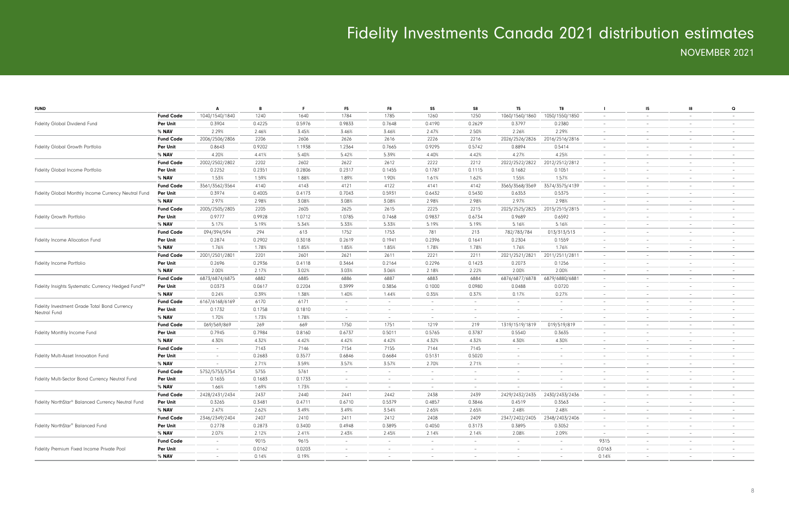| <b>FUND</b>                                          |                  | A                        | B      |        | F <sub>5</sub>           | F8                       | S5                              | S8                       | T <sub>5</sub>           | T8                       |                          | 15                              | -18                      | $\mathbf Q$              |
|------------------------------------------------------|------------------|--------------------------|--------|--------|--------------------------|--------------------------|---------------------------------|--------------------------|--------------------------|--------------------------|--------------------------|---------------------------------|--------------------------|--------------------------|
|                                                      | <b>Fund Code</b> | 1040/1540/1840           | 1240   | 1640   | 1784                     | 1785                     | 1260                            | 1250                     | 1060/1560/1860           | 1050/1550/1850           | $\sim$                   | $\overline{\phantom{a}}$        | $\overline{\phantom{a}}$ | $\overline{\phantom{a}}$ |
| Fidelity Global Dividend Fund                        | <b>Per Unit</b>  | 0.3904                   | 0.4225 | 0.5976 | 0.9833                   | 0.7648                   | 0.4190                          | 0.2629                   | 0.3797                   | 0.2380                   | $\overline{\phantom{a}}$ | $\overline{\phantom{a}}$        | $\overline{\phantom{a}}$ |                          |
|                                                      | % NAV            | 2.29%                    | 2.46%  | 3.45%  | 3.46%                    | 3.46%                    | 2.47%                           | 2.50%                    | 2.26%                    | 2.29%                    | $\overline{\phantom{a}}$ | $\overline{\phantom{a}}$        | $\overline{\phantom{a}}$ |                          |
|                                                      | <b>Fund Code</b> | 2006/2506/2806           | 2206   | 2606   | 2626                     | 2616                     | 2226                            | 2216                     | 2026/2526/2826           | 2016/2516/2816           | $\overline{\phantom{a}}$ | $\hspace{0.1mm}-\hspace{0.1mm}$ | $-$                      | $\overline{\phantom{a}}$ |
| Fidelity Global Growth Portfolio                     | <b>Per Unit</b>  | 0.8643                   | 0.9202 | 1.1938 | 1.2364                   | 0.7665                   | 0.9295                          | 0.5742                   | 0.8894                   | 0.5414                   | $\overline{\phantom{a}}$ | $\overline{\phantom{a}}$        | $\overline{\phantom{a}}$ | $\overline{\phantom{a}}$ |
|                                                      | % NAV            | 4.20%                    | 4.41%  | 5.40%  | 5.42%                    | 5.39%                    | 4.40%                           | 4.42%                    | 4.27%                    | 4.25%                    | $\overline{\phantom{a}}$ | $\overline{\phantom{m}}$        | $\overline{\phantom{0}}$ | $\overline{\phantom{a}}$ |
|                                                      | <b>Fund Code</b> | 2002/2502/2802           | 2202   | 2602   | 2622                     | 2612                     | 2222                            | 2212                     | 2022/2522/2822           | 2012/2512/2812           | $\overline{\phantom{a}}$ | $\overline{\phantom{a}}$        | $\overline{\phantom{a}}$ | $\overline{\phantom{a}}$ |
| Fidelity Global Income Portfolio                     | Per Unit         | 0.2252                   | 0.2351 | 0.2806 | 0.2317                   | 0.1455                   | 0.1787                          | 0.1115                   | 0.1682                   | 0.1051                   | $\overline{\phantom{a}}$ | $\overline{\phantom{a}}$        | $\overline{\phantom{a}}$ |                          |
|                                                      | % NAV            | 1.53%                    | 1.59%  | 1.88%  | 1.89%                    | 1.90%                    | 1.61%                           | 1.62%                    | 1.55%                    | 1.57%                    | $\overline{\phantom{a}}$ | $\overline{\phantom{a}}$        | $\overline{\phantom{a}}$ |                          |
|                                                      | <b>Fund Code</b> | 3561/3562/3564           | 4140   | 4143   | 4121                     | 4122                     | 4141                            | 4142                     | 3565/3568/3569           | 3574/3575/4139           | $\overline{\phantom{a}}$ | $\hspace{0.1mm}-\hspace{0.1mm}$ | $\overline{\phantom{a}}$ | $\overline{\phantom{a}}$ |
| Fidelity Global Monthly Income Currency Neutral Fund | <b>Per Unit</b>  | 0.3974                   | 0.4005 | 0.4173 | 0.7043                   | 0.5931                   | 0.6432                          | 0.5430                   | 0.6353                   | 0.5375                   | $\overline{\phantom{a}}$ | $\overline{\phantom{a}}$        | $\overline{\phantom{a}}$ | $\overline{\phantom{a}}$ |
|                                                      | % NAV            | 2.97%                    | 2.98%  | 3.08%  | 3.08%                    | 3.08%                    | 2.98%                           | 2.98%                    | 2.97%                    | 2.98%                    | $\overline{\phantom{a}}$ | $\overline{\phantom{a}}$        | $\sim$                   | $\overline{\phantom{a}}$ |
|                                                      | <b>Fund Code</b> | 2005/2505/2805           | 2205   | 2605   | 2625                     | 2615                     | 2225                            | 2215                     | 2025/2525/2825           | 2015/2515/2815           | $\overline{\phantom{a}}$ | $\overline{\phantom{a}}$        | $\overline{\phantom{a}}$ |                          |
| Fidelity Growth Portfolio                            | Per Unit         | 0.9777                   | 0.9928 | 1.0712 | 1.0785                   | 0.7468                   | 0.9837                          | 0.6734                   | 0.9689                   | 0.6592                   | $\sim$                   | $\overline{\phantom{a}}$        | $\overline{\phantom{a}}$ |                          |
|                                                      | % NAV            | 5.17%                    | 5.19%  | 5.34%  | 5.33%                    | 5.33%                    | 5.19%                           | 5.19%                    | 5.16%                    | 5.16%                    | $\overline{\phantom{a}}$ | $\overline{\phantom{a}}$        | $\overline{\phantom{a}}$ |                          |
|                                                      | <b>Fund Code</b> |                          | 294    |        |                          | 1753                     | 781                             | 213                      |                          |                          |                          |                                 |                          |                          |
|                                                      |                  | 094/394/594              |        | 613    | 1752                     |                          |                                 |                          | 782/783/784              | 013/313/513              | $\overline{\phantom{a}}$ | $\hspace{0.1mm}-\hspace{0.1mm}$ | $\overline{\phantom{0}}$ | $\overline{\phantom{a}}$ |
| Fidelity Income Allocation Fund                      | <b>Per Unit</b>  | 0.2874                   | 0.2902 | 0.3018 | 0.2619                   | 0.1941                   | 0.2396                          | 0.1641                   | 0.2304                   | 0.1559                   | $\overline{\phantom{a}}$ | $\overline{\phantom{a}}$        | $\overline{\phantom{a}}$ |                          |
|                                                      | % NAV            | 1.76%                    | 1.78%  | 1.85%  | 1.85%                    | 1.85%                    | 1.78%                           | 1.78%                    | 1.76%                    | 1.76%                    | $\overline{\phantom{a}}$ | $\overline{\phantom{a}}$        | $\overline{\phantom{0}}$ | $\overline{\phantom{a}}$ |
|                                                      | <b>Fund Code</b> | 2001/2501/2801           | 2201   | 2601   | 2621                     | 2611                     | 2221                            | 2211                     | 2021/2521/2821           | 2011/2511/2811           | $\overline{\phantom{a}}$ | $\overline{\phantom{a}}$        | $\overline{\phantom{a}}$ | $\overline{\phantom{a}}$ |
| Fidelity Income Portfolio                            | Per Unit         | 0.2696                   | 0.2936 | 0.4118 | 0.3464                   | 0.2164                   | 0.2296                          | 0.1423                   | 0.2073                   | 0.1256                   | $\sim$                   | $\overline{\phantom{a}}$        | $\overline{\phantom{a}}$ |                          |
|                                                      | % NAV            | 2.00%                    | 2.17%  | 3.02%  | 3.03%                    | 3.06%                    | 2.18%                           | 2.22%                    | 2.00%                    | 2.00%                    | $\overline{\phantom{a}}$ | $\overline{\phantom{a}}$        | $\overline{\phantom{a}}$ |                          |
|                                                      | <b>Fund Code</b> | 6873/6874/6875           | 6882   | 6885   | 6886                     | 6887                     | 6883                            | 6884                     | 6876/6877/6878           | 6879/6880/6881           | $\overline{\phantom{a}}$ | $\hspace{0.1mm}-\hspace{0.1mm}$ | $\overline{\phantom{a}}$ | $\overline{\phantom{a}}$ |
| Fidelity Insights Systematic Currency Hedged Fund™   | <b>Per Unit</b>  | 0.0373                   | 0.0617 | 0.2204 | 0.3999                   | 0.3856                   | 0.1000                          | 0.0980                   | 0.0488                   | 0.0720                   | $\overline{\phantom{a}}$ | $\overline{\phantom{a}}$        | $\overline{\phantom{a}}$ |                          |
|                                                      | % NAV            | 0.24%                    | 0.39%  | 1.38%  | 1.40%                    | 1.44%                    | 0.35%                           | 0.37%                    | 0.17%                    | 0.27%                    | $\overline{\phantom{a}}$ | $\overline{\phantom{a}}$        | $\overline{\phantom{0}}$ | $\overline{\phantom{a}}$ |
| Fidelity Investment Grade Total Bond Currency        | <b>Fund Code</b> | 6167/6168/6169           | 6170   | 6171   | $\overline{\phantom{a}}$ | $\equiv$                 | $\overline{\phantom{0}}$        | $\overline{a}$           | $\overline{\phantom{a}}$ | $\overline{\phantom{a}}$ | $\sim$                   | $\overline{\phantom{a}}$        | $\overline{\phantom{a}}$ | $\overline{\phantom{a}}$ |
| Neutral Fund                                         | Per Unit         | 0.1732                   | 0.1758 | 0.1810 | $\overline{\phantom{a}}$ | $-$                      | $\overline{\phantom{0}}$        | $\overline{\phantom{0}}$ | $\overline{\phantom{a}}$ | $\overline{\phantom{a}}$ | $\overline{\phantom{a}}$ | $\overline{\phantom{a}}$        | $\overline{\phantom{a}}$ |                          |
|                                                      | % NAV            | 1.70%                    | 1.73%  | 1.78%  | $\overline{\phantom{a}}$ | $-$                      | $-$                             | $\overline{\phantom{0}}$ |                          | $\overline{\phantom{a}}$ | $\sim$                   | $\overline{\phantom{a}}$        | $\overline{\phantom{a}}$ | $\overline{\phantom{a}}$ |
|                                                      | <b>Fund Code</b> | 069/569/869              | 269    | 669    | 1750                     | 1751                     | 1219                            | 219                      | 1319/1519/1819           | 019/519/819              | $\overline{\phantom{a}}$ | $\hspace{0.1mm}-\hspace{0.1mm}$ | $\overline{\phantom{a}}$ | $\overline{\phantom{a}}$ |
| Fidelity Monthly Income Fund                         | Per Unit         | 0.7945                   | 0.7984 | 0.8160 | 0.6737                   | 0.5011                   | 0.5765                          | 0.3787                   | 0.5540                   | 0.3635                   | $\overline{\phantom{a}}$ | $\overline{\phantom{a}}$        | $\overline{\phantom{a}}$ |                          |
|                                                      | % NAV            | 4.30%                    | 4.32%  | 4.42%  | 4.42%                    | 4.42%                    | 4.32%                           | 4.32%                    | 4.30%                    | 4.30%                    | $\overline{\phantom{a}}$ | $\overline{\phantom{a}}$        | $\overline{\phantom{0}}$ | $\overline{\phantom{a}}$ |
|                                                      | <b>Fund Code</b> | $\sim$                   | 7143   | 7146   | 7154                     | 7155                     | 7144                            | 7145                     | $\overline{\phantom{a}}$ | $\overline{\phantom{a}}$ | $\sim$                   | $\overline{\phantom{a}}$        | $\overline{\phantom{a}}$ | $\overline{\phantom{a}}$ |
| Fidelity Multi-Asset Innovation Fund                 | <b>Per Unit</b>  | $\overline{\phantom{a}}$ | 0.2683 | 0.3577 | 0.6846                   | 0.6684                   | 0.5131                          | 0.5020                   | $\sim$                   | $\overline{\phantom{a}}$ | $\overline{\phantom{a}}$ | $\overline{\phantom{a}}$        | $\overline{\phantom{a}}$ |                          |
|                                                      | % NAV            | $\overline{\phantom{a}}$ | 2.71%  | 3.59%  | 3.57%                    | 3.57%                    | 2.70%                           | 2.71%                    | $\sim$                   | $\overline{\phantom{a}}$ | $\sim$                   | $\hspace{0.1mm}-\hspace{0.1mm}$ | $\overline{\phantom{0}}$ | $\overline{\phantom{a}}$ |
|                                                      | <b>Fund Code</b> | 5752/5753/5754           | 5755   | 5761   | $\overline{\phantom{a}}$ | $-$                      | $\overline{\phantom{0}}$        | $\overline{\phantom{0}}$ | $\overline{\phantom{a}}$ | $\overline{\phantom{a}}$ | $\overline{\phantom{a}}$ | $\hspace{0.1mm}-\hspace{0.1mm}$ | $\overline{\phantom{a}}$ | $-$                      |
| Fidelity Multi-Sector Bond Currency Neutral Fund     | Per Unit         | 0.1655                   | 0.1683 | 0.1733 | $\overline{\phantom{a}}$ | $\overline{\phantom{a}}$ | $\overline{\phantom{a}}$        |                          | $\sim$                   | $\overline{\phantom{a}}$ | $\overline{\phantom{a}}$ | $\qquad \qquad -$               | $\overline{\phantom{a}}$ |                          |
|                                                      | % NAV            | 1.66%                    | 1.69%  | 1.73%  | $\overline{\phantom{a}}$ |                          |                                 |                          | $\overline{\phantom{a}}$ |                          | $\overline{\phantom{a}}$ | $\overline{\phantom{a}}$        |                          |                          |
|                                                      | <b>Fund Code</b> | 2428/2431/2434           | 2437   | 2440   | 2441                     | 2442                     | 2438                            | 2439                     | 2429/2432/2435           | 2430/2433/2436           | $\overline{\phantom{a}}$ | $\qquad \qquad -$               |                          |                          |
| Fidelity NorthStar® Balanced Currency Neutral Fund   | Per Unit         | 0.3265                   | 0.3481 | 0.4711 | 0.6710                   | 0.5379                   | 0.4857                          | 0.3846                   | 0.4519                   | 0.3563                   | $\overline{\phantom{a}}$ | $\qquad \qquad -$               |                          |                          |
|                                                      | % NAV            | 2.47%                    | 2.62%  | 3.49%  | 3.49%                    | 3.54%                    | 2.65%                           | 2.65%                    | 2.48%                    | 2.48%                    | $\overline{\phantom{a}}$ | $\hspace{0.1mm}-\hspace{0.1mm}$ | $\overline{\phantom{0}}$ | $\overline{\phantom{a}}$ |
|                                                      | <b>Fund Code</b> | 2346/2349/2404           | 2407   | 2410   | 2411                     | 2412                     | 2408                            | 2409                     | 2347/2402/2405           | 2348/2403/2406           | $\overline{\phantom{a}}$ | $\hspace{0.1mm}-\hspace{0.1mm}$ | $-$                      | $\overline{\phantom{0}}$ |
| Fidelity NorthStar <sup>®</sup> Balanced Fund        | <b>Per Unit</b>  | 0.2778                   | 0.2873 | 0.3400 | 0.4948                   | 0.3895                   | 0.4050                          | 0.3173                   | 0.3895                   | 0.3052                   | $\overline{\phantom{a}}$ | $\overline{\phantom{a}}$        | $-$                      |                          |
|                                                      | % NAV            | 2.07%                    | 2.12%  | 2.41%  | 2.43%                    | 2.45%                    | 2.14%                           | 2.14%                    | 2.08%                    | 2.09%                    | $\sim$                   | $\hspace{0.1mm}-\hspace{0.1mm}$ | $\overline{\phantom{0}}$ | $-$                      |
|                                                      | <b>Fund Code</b> | $\sim$                   | 9015   | 9615   | $\overline{\phantom{a}}$ | $\sim$                   | $\hspace{0.1mm}-\hspace{0.1mm}$ | $\overline{\phantom{0}}$ | $\sim$                   | $\overline{\phantom{a}}$ | 9315                     | $\overline{\phantom{m}}$        | $\overline{\phantom{0}}$ | $\overline{\phantom{0}}$ |
| Fidelity Premium Fixed Income Private Pool           | Per Unit         | $\sim$                   | 0.0162 | 0.0203 | $\overline{\phantom{a}}$ | $\sim$                   | $\hspace{0.1mm}-\hspace{0.1mm}$ | $\overline{\phantom{0}}$ | $\sim$                   | $\overline{\phantom{a}}$ | 0.0163                   | $\hspace{0.1mm}-\hspace{0.1mm}$ | $\overline{\phantom{a}}$ | $\overline{\phantom{0}}$ |
|                                                      | $%$ NAV          | $\sim$                   | 0.14%  | 0.19%  | $\overline{\phantom{a}}$ |                          |                                 |                          | $\sim$                   | $\overline{\phantom{a}}$ | 0.14%                    | $\hspace{0.1mm}-\hspace{0.1mm}$ |                          |                          |
|                                                      |                  |                          |        |        |                          |                          |                                 |                          |                          |                          |                          |                                 |                          |                          |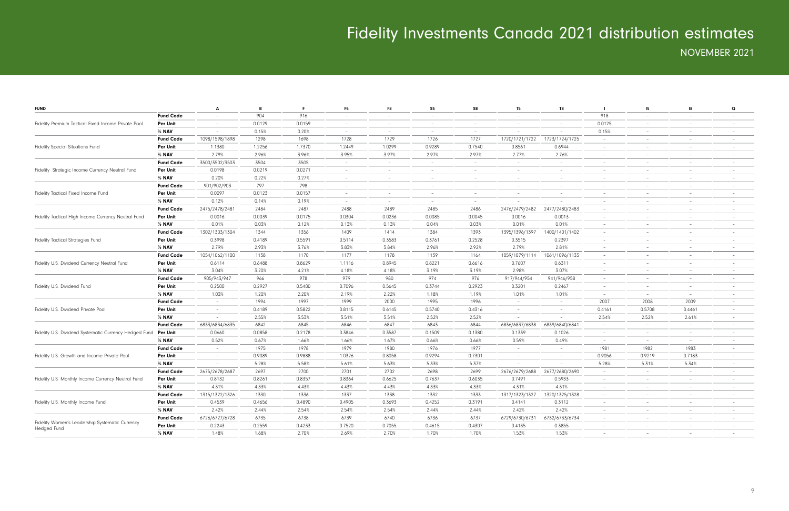| <b>FUND</b>                                            |                  | A                        | B      | F.     | F <sub>5</sub>                  | F8                       | S <sub>5</sub>           | S8                       | T <sub>5</sub>           | T8                       | - 1                      | 15                       | -18                      | $\mathbf Q$              |
|--------------------------------------------------------|------------------|--------------------------|--------|--------|---------------------------------|--------------------------|--------------------------|--------------------------|--------------------------|--------------------------|--------------------------|--------------------------|--------------------------|--------------------------|
|                                                        | <b>Fund Code</b> | $\overline{\phantom{a}}$ | 904    | 916    | $\hspace{0.1mm}-\hspace{0.1mm}$ |                          | $-$                      | $\overline{\phantom{0}}$ | $\overline{\phantom{a}}$ | $\overline{\phantom{a}}$ | 918                      | $\overline{\phantom{a}}$ | $\overline{\phantom{0}}$ | $\overline{\phantom{a}}$ |
| Fidelity Premium Tactical Fixed Income Private Pool    | Per Unit         | $\sim$                   | 0.0129 | 0.0159 | $\sim$                          | $\overline{a}$           | $\overline{a}$           | $\overline{a}$           | $\sim$                   | $\sim$                   | 0.0125                   | $\sim$                   | $\overline{a}$           | $\overline{\phantom{a}}$ |
|                                                        | % NAV            | $\overline{\phantom{a}}$ | 0.15%  | 0.20%  | $\sim$                          | $\sim$                   | $\sim$                   | $\sim$                   |                          | $\sim$                   | 0.15%                    | $\sim$                   | $\sim$                   | $\sim$                   |
|                                                        | <b>Fund Code</b> | 1098/1598/1898           | 1298   | 1698   | 1728                            | 1729                     | 1726                     | 1727                     | 1720/1721/1722           | 1723/1724/1725           | $\sim$                   | $\overline{\phantom{a}}$ | $\sim$                   | $\overline{\phantom{a}}$ |
| <b>Fidelity Special Situations Fund</b>                | Per Unit         | 1.1380                   | 1.2256 | 1.7370 | 1.2449                          | 1.0299                   | 0.9289                   | 0.7540                   | 0.8561                   | 0.6944                   | $\sim$                   | $\equiv$                 | $\sim$                   | $-$                      |
|                                                        | $%$ NAV          | 2.79%                    | 2.96%  | 3.96%  | 3.95%                           | 3.97%                    | 2.97%                    | 2.97%                    | 2.77%                    | 2.76%                    | $\sim$                   | $\overline{\phantom{a}}$ | $\overline{a}$           | $\overline{a}$           |
|                                                        | <b>Fund Code</b> | 3500/3502/3503           | 3504   | 3505   | $\overline{a}$                  | $\overline{a}$           | $\sim$                   | $\overline{\phantom{0}}$ | $\sim$                   | $\sim$                   | $\sim$                   | $\overline{\phantom{a}}$ | $\overline{a}$           | $-$                      |
| Fidelity Strategic Income Currency Neutral Fund        | Per Unit         | 0.0198                   | 0.0219 | 0.0271 | $\overline{\phantom{a}}$        | $\overline{\phantom{0}}$ | $\overline{\phantom{0}}$ | $\overline{\phantom{0}}$ | $\sim$                   | $\overline{\phantom{a}}$ | $\overline{\phantom{a}}$ | $\overline{\phantom{a}}$ | $\overline{a}$           | $-$                      |
|                                                        | % NAV            | 0.20%                    | 0.22%  | 0.27%  | $\sim$                          | $\overline{\phantom{0}}$ | $\sim$                   | $\overline{\phantom{0}}$ | $\sim$                   | $\overline{\phantom{a}}$ | $\sim$                   | $\overline{\phantom{a}}$ | $-$                      | $-$                      |
|                                                        | <b>Fund Code</b> | 901/902/903              | 797    | 798    | $\sim$                          | $\overline{\phantom{a}}$ | $\sim$                   | $\overline{\phantom{a}}$ | $\sim$                   | $\equiv$                 | $\sim$                   | $\sim$                   | $\overline{a}$           | $\overline{\phantom{0}}$ |
| Fidelity Tactical Fixed Income Fund                    | Per Unit         | 0.0097                   | 0.0123 | 0.0157 | $\sim$                          | $\sim$                   | $\sim$                   | $\sim$                   | $\sim$                   | $\overline{\phantom{a}}$ | $\sim$                   | $\overline{\phantom{a}}$ | $\sim$                   | $\overline{\phantom{0}}$ |
|                                                        | % NAV            | 0.12%                    | 0.14%  | 0.19%  | $\sim$                          | $\overline{\phantom{a}}$ | $\sim$                   | $\overline{\phantom{a}}$ |                          | $\overline{\phantom{a}}$ | $\equiv$                 | $\overline{\phantom{a}}$ | $\sim$                   |                          |
|                                                        | <b>Fund Code</b> | 2475/2478/2481           | 2484   | 2487   | 2488                            | 2489                     | 2485                     | 2486                     | 2476/2479/2482           | 2477/2480/2483           | $\overline{\phantom{a}}$ | $\overline{\phantom{a}}$ | $\overline{\phantom{a}}$ |                          |
| Fidelity Tactical High Income Currency Neutral Fund    | <b>Per Unit</b>  | 0.0016                   | 0.0039 | 0.0175 | 0.0304                          | 0.0236                   | 0.0085                   | 0.0045                   | 0.0016                   | 0.0013                   | $\equiv$                 |                          | $\overline{a}$           | $\overline{a}$           |
|                                                        | % NAV            | 0.01%                    | 0.03%  | 0.12%  | 0.13%                           | 0.13%                    | 0.04%                    | 0.03%                    | 0.01%                    | 0.01%                    | $\sim$                   | $\overline{\phantom{a}}$ | $\overline{\phantom{0}}$ | $-$                      |
|                                                        | <b>Fund Code</b> | 1302/1303/1304           | 1344   | 1356   | 1409                            | 1414                     | 1384                     | 1393                     | 1395/1396/1397           | 1400/1401/1402           | $\sim$                   | $\overline{\phantom{a}}$ | $\overline{a}$           | $-$                      |
| Fidelity Tactical Strategies Fund                      | Per Unit         | 0.3998                   | 0.4189 | 0.5591 | 0.5114                          | 0.3583                   | 0.3761                   | 0.2528                   | 0.3515                   | 0.2397                   | $\sim$                   | $\overline{\phantom{a}}$ | $\overline{\phantom{0}}$ | $\overline{\phantom{0}}$ |
|                                                        | % NAV            | 2.79%                    | 2.93%  | 3.76%  | 3.83%                           | 3.84%                    | 2.96%                    | 2.92%                    | 2.79%                    | 2.81%                    | $\sim$                   | $\overline{\phantom{a}}$ | $\overline{a}$           | $-$                      |
|                                                        | <b>Fund Code</b> | 1054/1062/1100           | 1138   | 1170   | 1177                            | 1178                     | 1139                     | 1164                     | 1059/1079/1114           | 1061/1096/1133           | $\sim$                   | $\overline{\phantom{a}}$ | $\overline{\phantom{a}}$ | $\overline{\phantom{0}}$ |
| Fidelity U.S. Dividend Currency Neutral Fund           | <b>Per Unit</b>  | 0.6114                   | 0.6488 | 0.8629 | 1.1116                          | 0.8945                   | 0.8221                   | 0.6616                   | 0.7607                   | 0.6311                   | $\sim$                   | $\sim$                   | $\sim$                   | $-$                      |
|                                                        | % NAV            | 3.04%                    | 3.20%  | 4.21%  | 4.18%                           | 4.18%                    | 3.19%                    | 3.19%                    | 2.98%                    | 3.07%                    | $\sim$                   | $\overline{\phantom{a}}$ | $\sim$                   | $\sim$                   |
|                                                        | <b>Fund Code</b> | 905/943/947              | 966    | 978    | 979                             | 980                      | 974                      | 976                      | 917/944/954              | 941/946/958              | $\sim$                   | $\overline{\phantom{a}}$ | $-$                      |                          |
| Fidelity U.S. Dividend Fund                            | Per Unit         | 0.2500                   | 0.2927 | 0.5400 | 0.7096                          | 0.5645                   | 0.3744                   | 0.2923                   | 0.3201                   | 0.2467                   | $\sim$                   | $\sim$                   | $\sim$                   | $\overline{a}$           |
|                                                        | $%$ NAV          | 1.03%                    | 1.20%  | 2.20%  | 2.19%                           | 2.22%                    | 1.18%                    | 1.19%                    | 1.01%                    | 1.01%                    | $\overline{a}$           | $\sim$                   | $\overline{a}$           | $-$                      |
|                                                        | <b>Fund Code</b> | $\sim$                   | 1994   | 1997   | 1999                            | 2000                     | 1995                     | 1996                     | $\sim$                   | $\sim$                   | 2007                     | 2008                     | 2009                     | $-$                      |
| Fidelity U.S. Dividend Private Pool                    | Per Unit         | $\overline{\phantom{a}}$ | 0.4189 | 0.5822 | 0.8115                          | 0.6145                   | 0.5740                   | 0.4316                   | $\overline{\phantom{a}}$ | $\overline{\phantom{a}}$ | 0.4161                   | 0.5708                   | 0.4461                   | $\overline{\phantom{0}}$ |
|                                                        | % NAV            |                          | 2.55%  | 3.53%  | 3.51%                           | 3.51%                    | 2.52%                    | 2.52%                    | $\sim$                   | $\overline{\phantom{a}}$ | 2.54%                    | 2.52%                    | 2.61%                    | $-$                      |
|                                                        | <b>Fund Code</b> | 6833/6834/6835           | 6842   | 6845   | 6846                            | 6847                     | 6843                     | 6844                     | 6836/6837/6838           | 6839/6840/6841           | $\sim$                   | $\overline{\phantom{a}}$ | $\sim$                   |                          |
| Fidelity U.S. Dividend Systematic Currency Hedged Fund | Per Unit         | 0.0660                   | 0.0858 | 0.2178 | 0.3846                          | 0.3587                   | 0.1509                   | 0.1380                   | 0.1339                   | 0.1026                   | $\overline{\phantom{a}}$ | $\overline{\phantom{a}}$ | $\sim$                   |                          |
|                                                        | % NAV            | 0.52%                    | 0.67%  | 1.66%  | 1.66%                           | 1.67%                    | 0.66%                    | 0.66%                    | 0.59%                    | 0.49%                    | $\overline{a}$           | $\overline{\phantom{a}}$ | $\overline{a}$           | $\overline{a}$           |
|                                                        | <b>Fund Code</b> | $\overline{\phantom{a}}$ | 1975   | 1978   | 1979                            | 1980                     | 1976                     | 1977                     | $\sim$                   | $\overline{\phantom{a}}$ | 1981                     | 1982                     | 1983                     | $-$                      |
| Fidelity U.S. Growth and Income Private Pool           | Per Unit         | $\sim$                   | 0.9089 | 0.9888 | 1.0326                          | 0.8058                   | 0.9294                   | 0.7301                   | $\sim$                   | $\sim$                   | 0.9056                   | 0.9219                   | 0.7183                   | $-$                      |
|                                                        | % NAV            | $\sim$                   | 5.28%  | 5.58%  | 5.61%                           | 5.63%                    | 5.33%                    | 5.37%                    | $\sim$                   | $\overline{\phantom{a}}$ | 5.28%                    | 5.31%                    | 5.34%                    | $-$                      |
|                                                        | <b>Fund Code</b> | 2675/2678/2687           | 2697   | 2700   | 2701                            | 2702                     | 2698                     | 2699                     | 2676/2679/2688           | 2677/2680/2690           | $\sim$                   | $\sim$                   | $\overline{\phantom{0}}$ | $-$                      |
| Fidelity U.S. Monthly Income Currency Neutral Fund     | <b>Per Unit</b>  | 0.8132                   | 0.8261 | 0.8357 | 0.8364                          | 0.6625                   | 0.7637                   | 0.6035                   | 0.7491                   | 0.5933                   | $\sim$                   | $\sim$                   | $\overline{\phantom{a}}$ |                          |
|                                                        | % NAV            | 4.31%                    | 4.33%  | 4.43%  | 4.43%                           | 4.43%                    | 4.33%                    | 4.33%                    | 4.31%                    | 4.31%                    | $\sim$                   | $\sim$                   | $\sim$                   | $-$                      |
|                                                        | <b>Fund Code</b> | 1315/1322/1326           | 1330   | 1336   | 1337                            | 1338                     | 1332                     | 1333                     | 1317/1323/1327           | 1320/1325/1328           | $\overline{\phantom{a}}$ | $\overline{\phantom{a}}$ | $\overline{\phantom{a}}$ | $\overline{\phantom{0}}$ |
| Fidelity U.S. Monthly Income Fund                      | Per Unit         | 0.4539                   | 0.4656 | 0.4890 | 0.4905                          | 0.3693                   | 0.4252                   | 0.3191                   | 0.4141                   | 0.3112                   | $\sim$                   | $\overline{\phantom{a}}$ | $-$                      | $-$                      |
|                                                        | % NAV            | 2.42%                    | 2.44%  | 2.54%  | 2.54%                           | 2.54%                    | 2.44%                    | 2.44%                    | 2.42%                    | 2.42%                    | $\sim$                   | $\sim$                   | $\overline{a}$           | $\overline{\phantom{0}}$ |
|                                                        | <b>Fund Code</b> | 6726/6727/6728           | 6735   | 6738   | 6739                            | 6740                     | 6736                     | 6737                     | 6729/6730/6731           | 6732/6733/6734           | $\sim$                   | $\overline{\phantom{a}}$ | $-$                      | $-$                      |
| Fidelity Women's Leadership Systematic Currency        | Per Unit         | 0.2243                   | 0.2559 | 0.4233 | 0.7520                          | 0.7055                   | 0.4615                   | 0.4307                   | 0.4135                   | 0.3855                   | $\sim$                   | $\sim$                   | $\overline{a}$           | $\overline{\phantom{0}}$ |
| Hedged Fund                                            | % NAV            | 1.48%                    | 1.68%  | 2.70%  | 2.69%                           | 2.70%                    | 1.70%                    | 1.70%                    | 1.53%                    | 1.53%                    | $\equiv$                 |                          |                          |                          |
|                                                        |                  |                          |        |        |                                 |                          |                          |                          |                          |                          |                          |                          |                          |                          |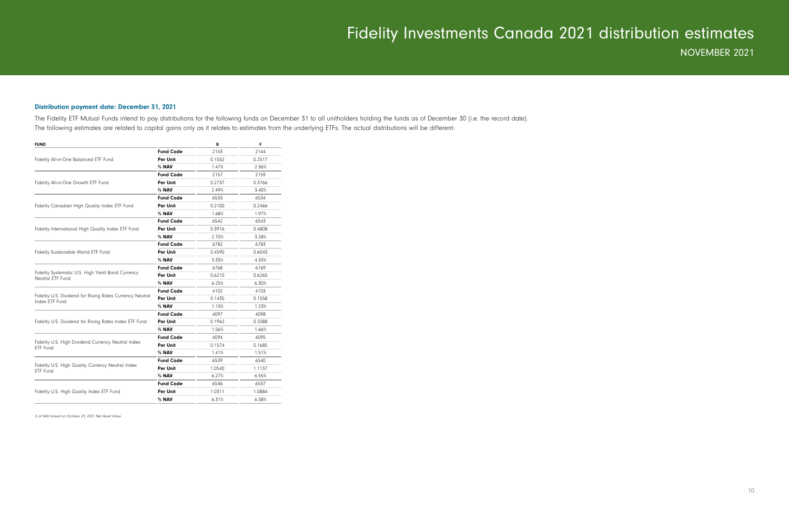#### Distribution payment date: December 31, 2021

The Fidelity ETF Mutual Funds intend to pay distributions for the following funds on December 31 to all unitholders holding the funds as of December 30 (i.e. the record date). The following estimates are related to capital gains only as it relates to estimates from the underlying ETFs. The actual distributions will be different:

| <b>FUND</b>                                                                |                  | B      | F      |
|----------------------------------------------------------------------------|------------------|--------|--------|
|                                                                            | <b>Fund Code</b> | 2143   | 2144   |
| Fidelity All-in-One Balanced ETF Fund                                      | Per Unit         | 0.1552 | 0.2517 |
|                                                                            | % NAV            | 1.47%  | 2.36%  |
|                                                                            | <b>Fund Code</b> | 2157   | 2159   |
| Fidelity All-in-One Growth ETF Fund                                        | Per Unit         | 0.2737 | 0.3766 |
|                                                                            | % NAV            | 2.49%  | 3.40%  |
|                                                                            | <b>Fund Code</b> | 6533   | 6534   |
| Fidelity Canadian High Quality Index ETF Fund                              | Per Unit         | 0.2100 | 0.2466 |
|                                                                            | % NAV            | 1.68%  | 1.97%  |
|                                                                            | <b>Fund Code</b> | 6542   | 6543   |
| Fidelity International High Quality Index ETF Fund                         | Per Unit         | 0.3916 | 0.4808 |
|                                                                            | % NAV            | 2.70%  | 3.28%  |
|                                                                            | <b>Fund Code</b> | 6782   | 6783   |
| <b>Fidelity Sustainable World ETF Fund</b>                                 | Per Unit         | 0.4590 | 0.6043 |
|                                                                            | % NAV            | 3.33%  | 4.33%  |
|                                                                            | <b>Fund Code</b> | 6768   | 6769   |
| Fidelity Systematic U.S. High Yield Bond Currency<br>Neutral ETF Fund      | Per Unit         | 0.6210 | 0.6265 |
|                                                                            | % NAV            | 6.25%  | 6.30%  |
|                                                                            | <b>Fund Code</b> | 4102   | 4103   |
| Fidelity U.S. Dividend for Rising Rates Currency Neutral<br>Index ETF Fund | Per Unit         | 0.1435 | 0.1558 |
|                                                                            | % NAV            | 1.13%  | 1.23%  |
|                                                                            | <b>Fund Code</b> | 4097   | 4098   |
| Fidelity U.S. Dividend for Rising Rates Index ETF Fund                     | Per Unit         | 0.1962 | 0.2088 |
|                                                                            | % NAV            | 1.56%  | 1.66%  |
|                                                                            | <b>Fund Code</b> | 4094   | 4095   |
| Fidelity U.S. High Dividend Currency Neutral Index<br><b>ETF Fund</b>      | Per Unit         | 0.1574 | 0.1685 |
|                                                                            | % NAV            | 1.41%  | 1.51%  |
|                                                                            | <b>Fund Code</b> | 6539   | 6540   |
| Fidelity U.S. High Quality Currency Neutral Index<br><b>ETF Fund</b>       | Per Unit         | 1.0540 | 1.1137 |
|                                                                            | % NAV            | 6.27%  | 6.55%  |
|                                                                            | <b>Fund Code</b> | 6536   | 6537   |
| Fidelity U.S. High Quality Index ETF Fund                                  | Per Unit         | 1.0311 | 1.0884 |
|                                                                            | % NAV            | 6.31%  | 6.58%  |

% of NAV based on October 29, 2021 Net Asset Value